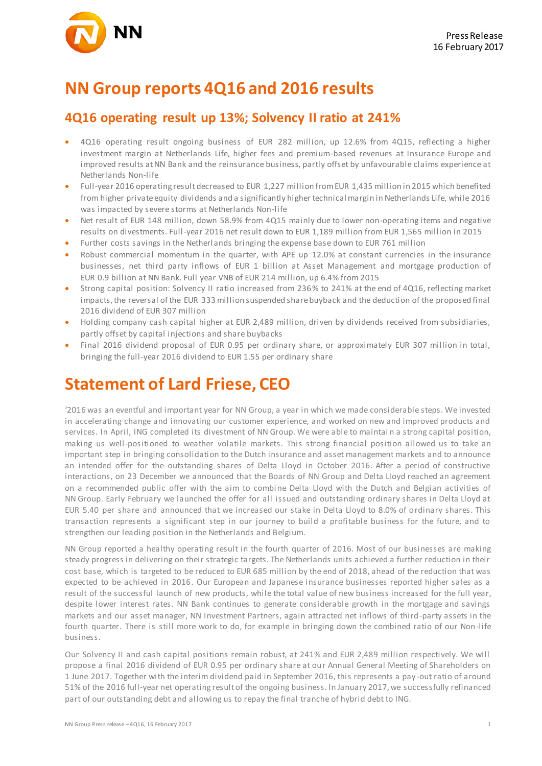

### **NN Group reports 4Q16 and 2016 results**

### **4Q16 operating result up 13%; Solvency II ratio at 241%**

- 4Q16 operating result ongoing business of EUR 282 million, up 12.6% from 4Q15, reflecting a higher investment margin at Netherlands Life, higher fees and premium-based revenues at Insurance Europe and improved results at NN Bank and the reinsurance business, partly offset by unfavourable claims experience at Netherlands Non-life
- Full-year 2016 operating result decreased to EUR 1,227 million from EUR 1,435 million in 2015 which benefited from higher private equity dividends and a significantly higher technical margin in Netherlands Life, while 2016 was impacted by severe storms at Netherlands Non-life
- Net result of EUR 148 million, down 58.9% from 4Q15 mainly due to lower non-operating items and negative results on divestments. Full-year 2016 net result down to EUR 1,189 million from EUR 1,565 million in 2015
- Further costs savings in the Netherlands bringing the expense base down to EUR 761 million
- Robust commercial momentum in the quarter, with APE up 12.0% at constant currencies in the insurance businesses, net third party inflows of EUR 1 billion at Asset Management and mortgage production of EUR 0.9 billion at NN Bank. Full year VNB of EUR 214 million, up 6.4% from 2015
- Strong capital position: Solvency II ratio increased from 236% to 241% at the end of 4Q16, reflecting market impacts, the reversal of the EUR 333 million suspended share buyback and the deduction of the proposed final 2016 dividend of EUR 307 million
- Holding company cash capital higher at EUR 2,489 million, driven by dividends received from subsidiaries, partly offset by capital injections and share buybacks
- Final 2016 dividend proposal of EUR 0.95 per ordinary share, or approximately EUR 307 million in total, bringing the full-year 2016 dividend to EUR 1.55 per ordinary share

## **Statement of Lard Friese, CEO**

'2016 was an eventful and important year for NN Group, a year in which we made considerable steps. We invested in accelerating change and innovating our customer experience, and worked on new and improved products and services. In April, ING completed its divestment of NN Group. We were able to maintai n a strong capital position, making us well-positioned to weather volatile markets. This strong financial position allowed us to take an important step in bringing consolidation to the Dutch insurance and asset management markets and to announce an intended offer for the outstanding shares of Delta Lloyd in October 2016. After a period of constructive interactions, on 23 December we announced that the Boards of NN Group and Delta Lloyd reached an agreement on a recommended public offer with the aim to combi ne Delta Lloyd with the Dutch and Belgian activities of NN Group. Early February we launched the offer for all issued and outstanding ordinary shares in Delta Lloyd at EUR 5.40 per share and announced that we increased our stake in Delta Lloyd to 8.0% of ordinary shares. This transaction represents a significant step in our journey to build a profitable business for the future, and to strengthen our leading position in the Netherlands and Belgium.

NN Group reported a healthy operating result in the fourth quarter of 2016. Most of our businesses are making steady progress in delivering on their strategic targets. The Netherlands units achieved a further reduction in their cost base, which is targeted to be reduced to EUR 685 million by the end of 2018, ahead of the reduction that was expected to be achieved in 2016. Our European and Japanese insurance businesses reported higher sales as a result of the successful launch of new products, while the total value of new business increased for the full year, despite lower interest rates. NN Bank continues to generate considerable growth in the mortgage and savings markets and our asset manager, NN Investment Partners, again attracted net inflows of third-party assets in the fourth quarter. There is still more work to do, for example in bringing down the combined ratio of our Non-life business.

Our Solvency II and cash capital positions remain robust, at 241% and EUR 2,489 million respectively. We will propose a final 2016 dividend of EUR 0.95 per ordinary share at our Annual General Meeting of Shareholders on 1 June 2017. Together with the interim dividend paid in September 2016, this represents a pay -out ratio of around 51% of the 2016 full-year net operating result of the ongoing business. In January 2017, we successfully refinanced part of our outstanding debt and allowing us to repay the final tranche of hybrid debt to ING.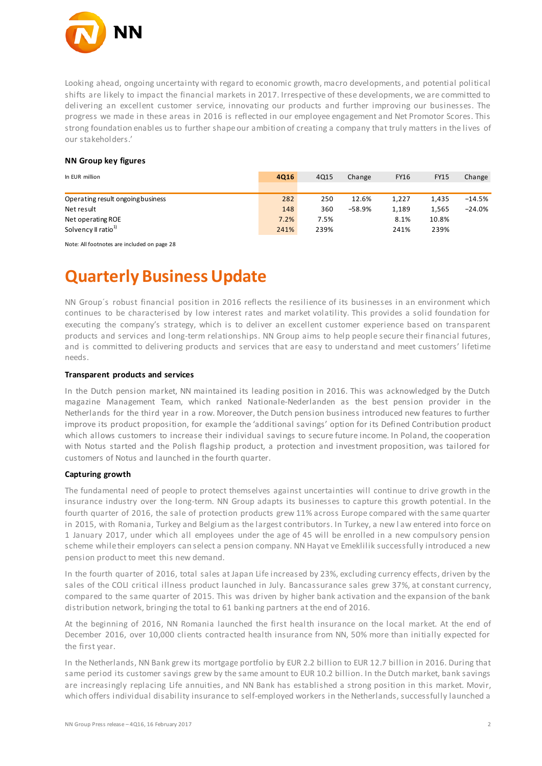

Looking ahead, ongoing uncertainty with regard to economic growth, macro developments, and potential political shifts are likely to impact the financial markets in 2017. Irrespective of these developments, we are committed to delivering an excellent customer service, innovating our products and further improving our businesses. The progress we made in these areas in 2016 is reflected in our employee engagement and Net Promotor Scores. This strong foundation enables us to further shape our ambition of creating a company that truly matters in the lives of our stakeholders.'

#### **NN Group key figures**

| In EUR million                    | 4016 | 4Q15 | Change   | <b>FY16</b> | <b>FY15</b> | Change   |
|-----------------------------------|------|------|----------|-------------|-------------|----------|
|                                   |      |      |          |             |             |          |
| Operating result ongoing business | 282  | 250  | 12.6%    | 1.227       | 1.435       | $-14.5%$ |
| Net result                        | 148  | 360  | $-58.9%$ | 1.189       | 1,565       | $-24.0%$ |
| Net operating ROE                 | 7.2% | 7.5% |          | 8.1%        | 10.8%       |          |
| Solvency II ratio <sup>1)</sup>   | 241% | 239% |          | 241%        | 239%        |          |

Note: All footnotes are included on page 28

## **Quarterly Business Update**

NN Group´s robust financial position in 2016 reflects the resilience of its businesses in an environment which continues to be characterised by low interest rates and market volatility. This provides a solid foundation for executing the company's strategy, which is to deliver an excellent customer experience based on transparent products and services and long-term relationships. NN Group aims to help people secure their financial futures, and is committed to delivering products and services that are easy to understand and meet customers' lifetime needs.

#### **Transparent products and services**

In the Dutch pension market, NN maintained its leading position in 2016. This was acknowledged by the Dutch magazine Management Team, which ranked Nationale-Nederlanden as the best pension provider in the Netherlands for the third year in a row. Moreover, the Dutch pension business introduced new features to further improve its product proposition, for example the 'additional savings' option for its Defined Contribution product which allows customers to increase their individual savings to secure future income. In Poland, the cooperation with Notus started and the Polish flagship product, a protection and investment proposition, was tailored for customers of Notus and launched in the fourth quarter.

#### **Capturing growth**

The fundamental need of people to protect themselves against uncertainties will continue to drive growth in the insurance industry over the long-term. NN Group adapts its businesses to capture this growth potential. In the fourth quarter of 2016, the sale of protection products grew 11% across Europe compared with the same quarter in 2015, with Romania, Turkey and Belgium as the largest contributors. In Turkey, a new l aw entered into force on 1 January 2017, under which all employees under the age of 45 will be enrolled in a new compulsory pension scheme while their employers can select a pension company. NN Hayat ve Emeklilik successfully introduced a new pension product to meet this new demand.

In the fourth quarter of 2016, total sales at Japan Life increased by 23%, excluding currency effects, driven by the sales of the COLI critical illness product launched in July. Bancassurance sales grew 37%, at constant currency, compared to the same quarter of 2015. This was driven by higher bank activation and the expansion of the bank distribution network, bringing the total to 61 banki ng partners at the end of 2016.

At the beginning of 2016, NN Romania launched the first health insurance on the local market. At the end of December 2016, over 10,000 clients contracted health insurance from NN, 50% more than initially expected for the first year.

In the Netherlands, NN Bank grew its mortgage portfolio by EUR 2.2 billion to EUR 12.7 billion in 2016. During that same period its customer savings grew by the same amount to EUR 10.2 billion. In the Dutch market, bank savings are increasingly replacing Life annuities, and NN Bank has established a strong position in this market. Movir, which offers individual disability insurance to self-employed workers in the Netherlands, successfully launched a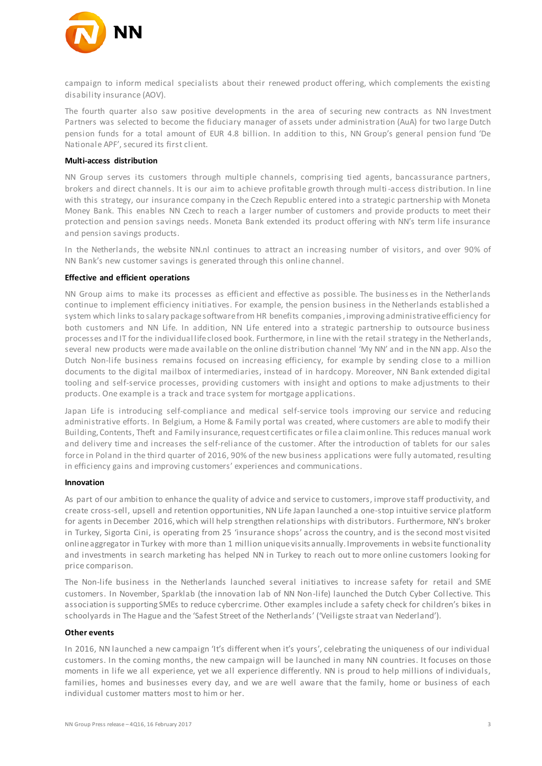

campaign to inform medical specialists about their renewed product offering, which complements the existing disability insurance (AOV).

The fourth quarter also saw positive developments in the area of securing new contracts as NN Investment Partners was selected to become the fiduciary manager of assets under administration (AuA) for two large Dutch pension funds for a total amount of EUR 4.8 billion. In addition to this, NN Group's general pension fund 'De Nationale APF', secured its first client.

#### **Multi-access distribution**

NN Group serves its customers through multiple channels, comprising tied agents, bancassurance partners, brokers and direct channels. It is our aim to achieve profitable growth through multi -access distribution. In line with this strategy, our insurance company in the Czech Republic entered into a strategic partnership with Moneta Money Bank. This enables NN Czech to reach a larger number of customers and provide products to meet their protection and pension savings needs. Moneta Bank extended its product offering with NN's term life insurance and pension savings products.

In the Netherlands, the website NN.nl continues to attract an increasing number of visitors, and over 90% of NN Bank's new customer savings is generated through this online channel.

#### **Effective and efficient operations**

NN Group aims to make its processes as efficient and effective as possible. The business es in the Netherlands continue to implement efficiency initiatives. For example, the pension business in the Netherlands established a system which links to salary package software from HR benefits companies, improving administrative efficiency for both customers and NN Life. In addition, NN Life entered into a strategic partnership to outsource business processes and IT for the individual life closed book. Furthermore, in line with the retail strategy in the Netherlands, several new products were made avai lable on the online distribution channel 'My NN' and in the NN app. Also the Dutch Non-life business remains focused on increasing efficiency, for example by sending close to a million documents to the digital mailbox of intermediaries, instead of in hardcopy. Moreover, NN Bank extended digital tooling and self-service processes, providing customers with insight and options to make adjustments to their products. One example is a track and trace system for mortgage applications.

Japan Life is introducing self-compliance and medical self-service tools improving our service and reducing administrative efforts. In Belgium, a Home & Family portal was created, where customers are able to modify their Building, Contents, Theft and Family insurance, request certificates or file a claim online. This reduces manual work and delivery time and increases the self-reliance of the customer. After the introduction of tablets for our sales force in Poland in the third quarter of 2016, 90% of the new business applications were fully automated, resulting in efficiency gains and improving customers' experiences and communications.

#### **Innovation**

As part of our ambition to enhance the quality of advice and service to customers, improve staff productivity, and create cross-sell, upsell and retention opportunities, NN Life Japan launched a one-stop intuitive service platform for agents in December 2016, which will help strengthen relationships with distributors. Furthermore, NN's broker in Turkey, Sigorta Cini, is operating from 25 'insurance shops' across the country, and is the second most visited online aggregator in Turkey with more than 1 million unique visits annually. Improvements in website functionality and investments in search marketing has helped NN in Turkey to reach out to more online customers looking for price comparison.

The Non-life business in the Netherlands launched several initiatives to increase safety for retail and SME customers. In November, Sparklab (the innovation lab of NN Non-life) launched the Dutch Cyber Col lective. This association is supporting SMEs to reduce cybercrime. Other examples include a safety check for children's bikes in schoolyards in The Hague and the 'Safest Street of the Netherlands' ('Veiligste straat van Nederland').

#### **Other events**

In 2016, NN launched a new campaign 'It's different when it's yours', celebrating the uniqueness of our individual customers. In the coming months, the new campaign will be launched in many NN countries. It focuses on those moments in life we all experience, yet we all experience differently. NN is proud to help millions of individuals, families, homes and businesses every day, and we are well aware that the family, home or business of each individual customer matters most to him or her.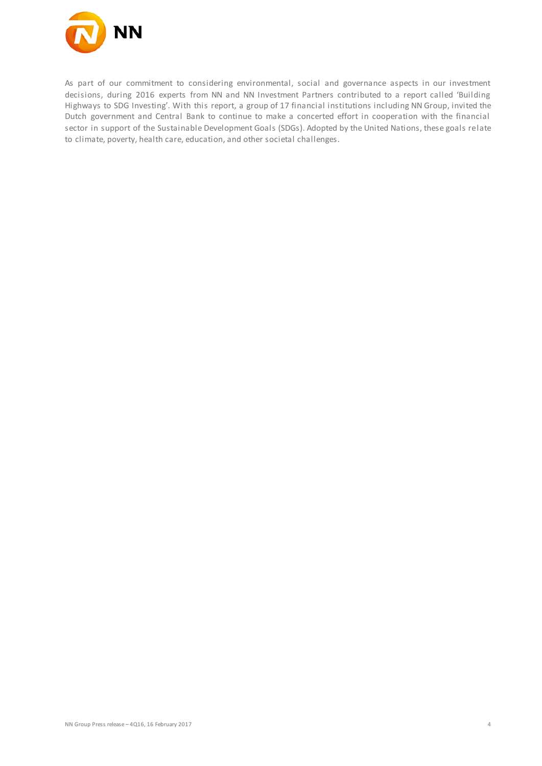

As part of our commitment to considering environmental, social and governance aspects in our investment decisions, during 2016 experts from NN and NN Investment Partners contributed to a report called 'Building Highways to SDG Investing'. With this report, a group of 17 financial institutions including NN Group, invited the Dutch government and Central Bank to continue to make a concerted effort in cooperation with the financial sector in support of the Sustainable Development Goals (SDGs). Adopted by the United Nations, these goals relate to climate, poverty, health care, education, and other societal challenges.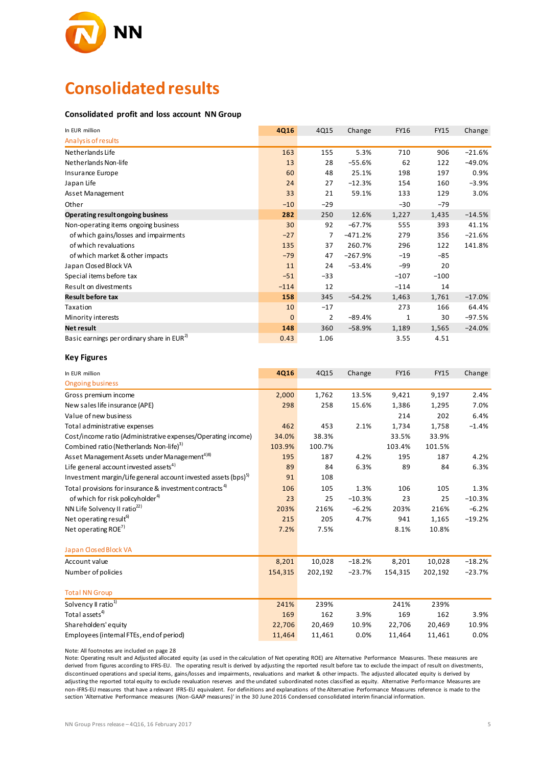

## **Consolidated results**

#### **Consolidated profit and loss account NN Group**

| In EUR million                                                             | 4Q16        | 4Q15           | Change    | <b>FY16</b>  | <b>FY15</b> | Change   |
|----------------------------------------------------------------------------|-------------|----------------|-----------|--------------|-------------|----------|
| Analysis of results                                                        |             |                |           |              |             |          |
| Netherlands Life                                                           | 163         | 155            | 5.3%      | 710          | 906         | $-21.6%$ |
| Netherlands Non-life                                                       | 13          | 28             | $-55.6%$  | 62           | 122         | $-49.0%$ |
| Insurance Europe                                                           | 60          | 48             | 25.1%     | 198          | 197         | 0.9%     |
| Japan Life                                                                 | 24          | 27             | $-12.3%$  | 154          | 160         | $-3.9%$  |
| Asset Management                                                           | 33          | 21             | 59.1%     | 133          | 129         | 3.0%     |
| Other                                                                      | $-10$       | $-29$          |           | $-30$        | $-79$       |          |
| Operating result ongoing business                                          | 282         | 250            | 12.6%     | 1,227        | 1,435       | $-14.5%$ |
| Non-operating items ongoing business                                       | 30          | 92             | $-67.7%$  | 555          | 393         | 41.1%    |
| of which gains/losses and impairments                                      | $-27$       | $\overline{7}$ | $-471.2%$ | 279          | 356         | $-21.6%$ |
| of which revaluations                                                      | 135         | 37             | 260.7%    | 296          | 122         | 141.8%   |
| of which market & other impacts                                            | $-79$       | 47             | $-267.9%$ | $-19$        | $-85$       |          |
| Japan Closed Block VA                                                      | 11          | 24             | $-53.4%$  | $-99$        | 20          |          |
| Special items before tax                                                   | $-51$       | $-33$          |           | $-107$       | $-100$      |          |
| Result on divestments                                                      | $-114$      | 12             |           | $-114$       | 14          |          |
| <b>Result before tax</b>                                                   | 158         | 345            | $-54.2%$  | 1,463        | 1,761       | $-17.0%$ |
| Taxation                                                                   | 10          | $-17$          |           | 273          | 166         | 64.4%    |
| Minority interests                                                         | $\mathbf 0$ | $\overline{2}$ | $-89.4%$  | $\mathbf{1}$ | 30          | $-97.5%$ |
| <b>Net result</b>                                                          | 148         | 360            | $-58.9%$  | 1,189        | 1,565       | $-24.0%$ |
| Basic earnings perordinary share in EUR <sup>2)</sup>                      | 0.43        | 1.06           |           | 3.55         | 4.51        |          |
| <b>Key Figures</b>                                                         |             |                |           |              |             |          |
| In EUR million                                                             | 4Q16        | 4Q15           | Change    | FY16         | <b>FY15</b> | Change   |
| <b>Ongoing business</b>                                                    |             |                |           |              |             |          |
| Gross premium income                                                       | 2,000       | 1,762          | 13.5%     | 9,421        | 9,197       | 2.4%     |
| New sales life insurance (APE)                                             | 298         | 258            | 15.6%     | 1,386        | 1,295       | 7.0%     |
| Value of new business                                                      |             |                |           | 214          | 202         | 6.4%     |
| Total administrative expenses                                              | 462         | 453            | 2.1%      | 1,734        | 1,758       | $-1.4%$  |
| Cost/income ratio (Administrative expenses/Operating income)               | 34.0%       | 38.3%          |           | 33.5%        | 33.9%       |          |
| Combined ratio (Netherlands Non-life) <sup>3)</sup>                        | 103.9%      | 100.7%         |           | 103.4%       | 101.5%      |          |
| Asset Management Assets under Management <sup>4)8)</sup>                   | 195         | 187            | 4.2%      | 195          | 187         | 4.2%     |
| Life general account invested assets <sup>4)</sup>                         | 89          | 84             | 6.3%      | 89           | 84          | 6.3%     |
| Investment margin/Life general account invested assets (bps) <sup>5)</sup> | 91          | 108            |           |              |             |          |
| Total provisions for insurance & investment contracts <sup>4)</sup>        | 106         | 105            | 1.3%      | 106          | 105         | 1.3%     |
| of which for risk policyholder <sup>4)</sup>                               | 23          | 25             | $-10.3%$  | 23           | 25          | $-10.3%$ |
| NN Life Solvency II ratio <sup>22)</sup>                                   | 203%        | 216%           | $-6.2%$   | 203%         | 216%        | $-6.2%$  |
| Net operating result <sup>6)</sup>                                         | 215         | 205            | 4.7%      | 941          | 1,165       | $-19.2%$ |
| Net operating ROE <sup>7)</sup>                                            | 7.2%        | 7.5%           |           | 8.1%         | 10.8%       |          |
| Japan Closed Block VA                                                      |             |                |           |              |             |          |

| <b>Japan Goscapioch VA</b>               |         |         |          |         |         |          |
|------------------------------------------|---------|---------|----------|---------|---------|----------|
| Account value                            | 8.201   | 10,028  | $-18.2%$ | 8.201   | 10.028  | $-18.2%$ |
| Number of policies                       | 154,315 | 202,192 | $-23.7%$ | 154,315 | 202.192 | $-23.7%$ |
|                                          |         |         |          |         |         |          |
| <b>Total NN Group</b>                    |         |         |          |         |         |          |
| Solvency II ratio <sup>1)</sup>          | 241%    | 239%    |          | 241%    | 239%    |          |
| Total assets <sup>4)</sup>               | 169     | 162     | 3.9%     | 169     | 162     | 3.9%     |
| Shareholders' equity                     | 22.706  | 20.469  | 10.9%    | 22.706  | 20.469  | 10.9%    |
| Employees (internal FTEs, end of period) | 11,464  | 11,461  | 0.0%     | 11,464  | 11,461  | 0.0%     |
|                                          |         |         |          |         |         |          |

Note: All footnotes are included on page 28

Note: Operating result and Adjusted allocated equity (as used in the calculation of Net operating ROE) are Alternative Performance Measures. These measures are derived from figures according to IFRS-EU. The operating result is derived by adjusting the reported result before tax to exclude the impact of result on divestments, discontinued operations and special items, gains/losses and impairments, revaluations and market & other impacts. The adjusted allocated equity is derived by adjusting the reported total equity to exclude revaluation reserves and the undated subordinated notes classified as equity. Alternative Perfo rmance Measures are non-IFRS-EU measures that have a relevant IFRS-EU equivalent. For definitions and explanations of the Alternative Performance Measures reference is made to the section 'Alternative Performance measures (Non-GAAP measures)' in the 30 June 2016 Condensed consolidated interim financial information.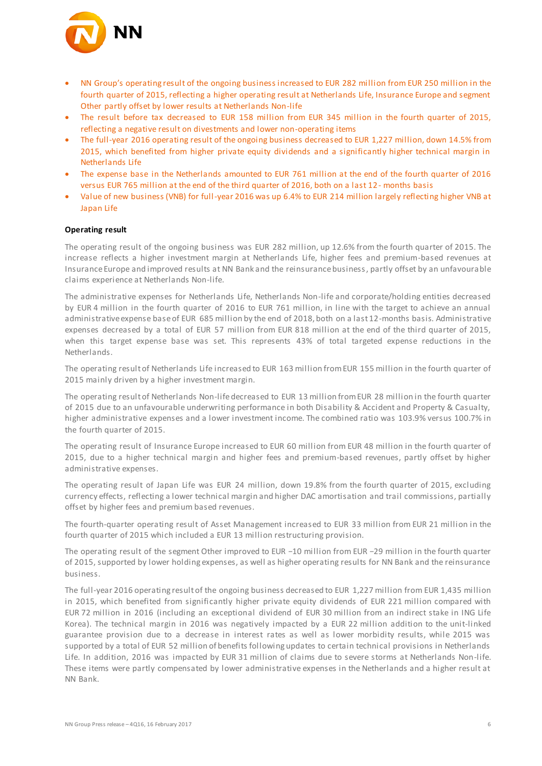

- NN Group's operating result of the ongoing business increased to EUR 282 million from EUR 250 million in the fourth quarter of 2015, reflecting a higher operating result at Netherlands Life, Insurance Europe and segment Other partly offset by lower results at Netherlands Non-life
- The result before tax decreased to EUR 158 million from EUR 345 million in the fourth quarter of 2015, reflecting a negative result on divestments and lower non-operating items
- The full-year 2016 operating result of the ongoing business decreased to EUR 1,227 million, down 14.5% from 2015, which benefited from higher private equity dividends and a significantly higher technical margin in Netherlands Life
- The expense base in the Netherlands amounted to EUR 761 million at the end of the fourth quarter of 2016 versus EUR 765 million at the end of the third quarter of 2016, both on a last 12- months basis
- Value of new business (VNB) for full-year 2016 was up 6.4% to EUR 214 million largely reflecting higher VNB at Japan Life

#### **Operating result**

The operating result of the ongoing business was EUR 282 million, up 12.6% from the fourth quarter of 2015. The increase reflects a higher investment margin at Netherlands Life, higher fees and premium-based revenues at Insurance Europe and improved results at NN Bank and the reinsurance business, partly offset by an unfavourable claims experience at Netherlands Non-life.

The administrative expenses for Netherlands Life, Netherlands Non-life and corporate/holding entities decreased by EUR 4 million in the fourth quarter of 2016 to EUR 761 million, in line with the target to achieve an annual administrative expense base of EUR 685 million by the end of 2018, both on a last 12-months basis. Administrative expenses decreased by a total of EUR 57 million from EUR 818 million at the end of the third quarter of 2015, when this target expense base was set. This represents 43% of total targeted expense reductions in the Netherlands.

The operating result of Netherlands Life increased to EUR 163 million from EUR 155 million in the fourth quarter of 2015 mainly driven by a higher investment margin.

The operating result of Netherlands Non-life decreased to EUR 13 million from EUR 28 million in the fourth quarter of 2015 due to an unfavourable underwriting performance in both Disability & Accident and Property & Casualty, higher administrative expenses and a lower investment income. The combined ratio was 103.9% versus 100.7% in the fourth quarter of 2015.

The operating result of Insurance Europe increased to EUR 60 million from EUR 48 million in the fourth quarter of 2015, due to a higher technical margin and higher fees and premium-based revenues, partly offset by higher administrative expenses.

The operating result of Japan Life was EUR 24 million, down 19.8% from the fourth quarter of 2015, excluding currency effects, reflecting a lower technical margin and higher DAC amortisation and trail commissions, partially offset by higher fees and premium based revenues.

The fourth-quarter operating result of Asset Management increased to EUR 33 million from EUR 21 million in the fourth quarter of 2015 which included a EUR 13 million restructuring provision.

The operating result of the segment Other improved to EUR −10 million from EUR −29 million in the fourth quarter of 2015, supported by lower holding expenses, as well as higher operating results for NN Bank and the reinsurance business.

The full-year 2016 operating result of the ongoing business decreased to EUR 1,227 million from EUR 1,435 million in 2015, which benefited from significantly higher private equity dividends of EUR 221 million compared with EUR 72 million in 2016 (including an exceptional dividend of EUR 30 million from an indirect stake in ING Life Korea). The technical margin in 2016 was negatively impacted by a EUR 22 million addition to the unit-linked guarantee provision due to a decrease in interest rates as well as lower morbidity results, while 2015 was supported by a total of EUR 52 million of benefits following updates to certain technical provisions in Netherlands Life. In addition, 2016 was impacted by EUR 31 million of claims due to severe storms at Netherlands Non-life. These items were partly compensated by lower administrative expenses in the Netherlands and a higher result at NN Bank.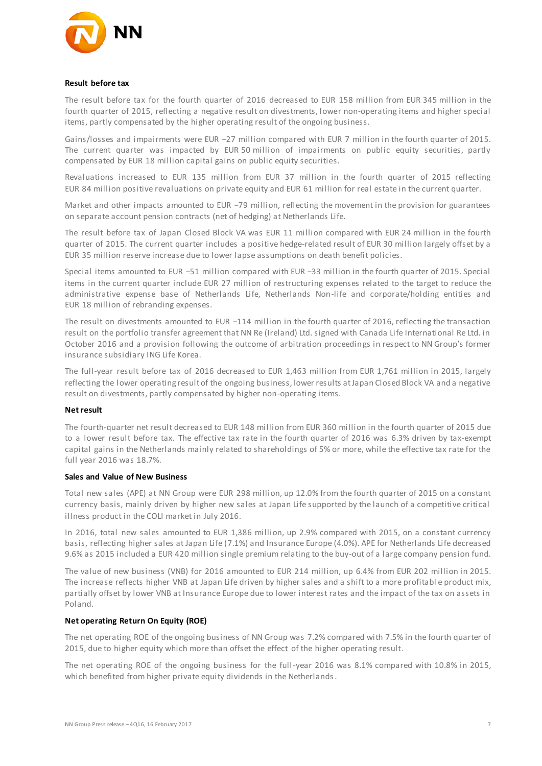

#### **Result before tax**

The result before tax for the fourth quarter of 2016 decreased to EUR 158 million from EUR 345 million in the fourth quarter of 2015, reflecting a negative result on divestments, lower non-operating items and higher special items, partly compensated by the higher operating result of the ongoing business.

Gains/losses and impairments were EUR −27 million compared with EUR 7 million in the fourth quarter of 2015. The current quarter was impacted by EUR 50 million of impairments on public equity securities, partly compensated by EUR 18 million capital gains on public equity securities.

Revaluations increased to EUR 135 million from EUR 37 million in the fourth quarter of 2015 reflecting EUR 84 million positive revaluations on private equity and EUR 61 million for real estate in the current quarter.

Market and other impacts amounted to EUR −79 million, reflecting the movement in the provision for guarantees on separate account pension contracts (net of hedging) at Netherlands Life.

The result before tax of Japan Closed Block VA was EUR 11 million compared with EUR 24 million in the fourth quarter of 2015. The current quarter includes a positive hedge-related result of EUR 30 million largely offset by a EUR 35 million reserve increase due to lower lapse assumptions on death benefit policies.

Special items amounted to EUR −51 million compared with EUR −33 million in the fourth quarter of 2015. Special items in the current quarter include EUR 27 million of restructuring expenses related to the target to reduce the administrative expense base of Netherlands Life, Netherlands Non-life and corporate/holding entities and EUR 18 million of rebranding expenses.

The result on divestments amounted to EUR −114 million in the fourth quarter of 2016, reflecting the transaction result on the portfolio transfer agreement that NN Re (Ireland) Ltd. signed with Canada Life International Re Ltd. in October 2016 and a provision following the outcome of arbitration proceedings in respect to NN Group's former insurance subsidiary ING Life Korea.

The full-year result before tax of 2016 decreased to EUR 1,463 million from EUR 1,761 million in 2015, largely reflecting the lower operating result of the ongoing business, lower results at Japan Closed Block VA and a negative result on divestments, partly compensated by higher non-operating items.

#### **Net result**

The fourth-quarter net result decreased to EUR 148 million from EUR 360 million in the fourth quarter of 2015 due to a lower result before tax. The effective tax rate in the fourth quarter of 2016 was 6.3% driven by tax-exempt capital gains in the Netherlands mainly related to shareholdings of 5% or more, while the effective tax rate for the full year 2016 was 18.7%.

#### **Sales and Value of New Business**

Total new sales (APE) at NN Group were EUR 298 million, up 12.0% from the fourth quarter of 2015 on a constant currency basis, mainly driven by higher new sales at Japan Life supported by the launch of a competitive critical illness product in the COLI market in July 2016.

In 2016, total new sales amounted to EUR 1,386 million, up 2.9% compared with 2015, on a constant currency basis, reflecting higher sales at Japan Life (7.1%) and Insurance Europe (4.0%). APE for Netherlands Life decreased 9.6% as 2015 included a EUR 420 million single premium relating to the buy-out of a large company pension fund.

The value of new business (VNB) for 2016 amounted to EUR 214 million, up 6.4% from EUR 202 million in 2015. The increase reflects higher VNB at Japan Life driven by higher sales and a shift to a more profitabl e product mix, partially offset by lower VNB at Insurance Europe due to lower interest rates and the impact of the tax on assets in Poland.

#### **Net operating Return On Equity (ROE)**

The net operating ROE of the ongoing business of NN Group was 7.2% compared with 7.5% in the fourth quarter of 2015, due to higher equity which more than offset the effect of the higher operating result.

The net operating ROE of the ongoing business for the full-year 2016 was 8.1% compared with 10.8% in 2015, which benefited from higher private equity dividends in the Netherlands.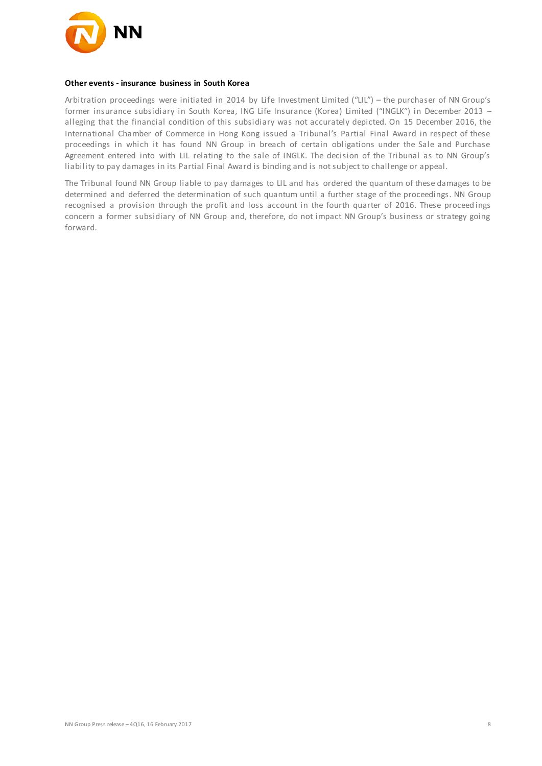

#### **Other events - insurance business in South Korea**

Arbitration proceedings were initiated in 2014 by Life Investment Limited ("LIL") – the purchaser of NN Group's former insurance subsidiary in South Korea, ING Life Insurance (Korea) Limited ("INGLK") in December 2013 – alleging that the financial condition of this subsidiary was not accurately depicted. On 15 December 2016, the International Chamber of Commerce in Hong Kong issued a Tribunal's Partial Final Award in respect of these proceedings in which it has found NN Group in breach of certain obligations under the Sale and Purchase Agreement entered into with LIL relating to the sale of INGLK. The decision of the Tribunal as to NN Group's liability to pay damages in its Partial Final Award is binding and is not subject to challenge or appeal.

The Tribunal found NN Group liable to pay damages to LIL and has ordered the quantum of these damages to be determined and deferred the determination of such quantum until a further stage of the proceedings. NN Group recognised a provision through the profit and loss account in the fourth quarter of 2016. These proceed ings concern a former subsidiary of NN Group and, therefore, do not impact NN Group's business or strategy going forward.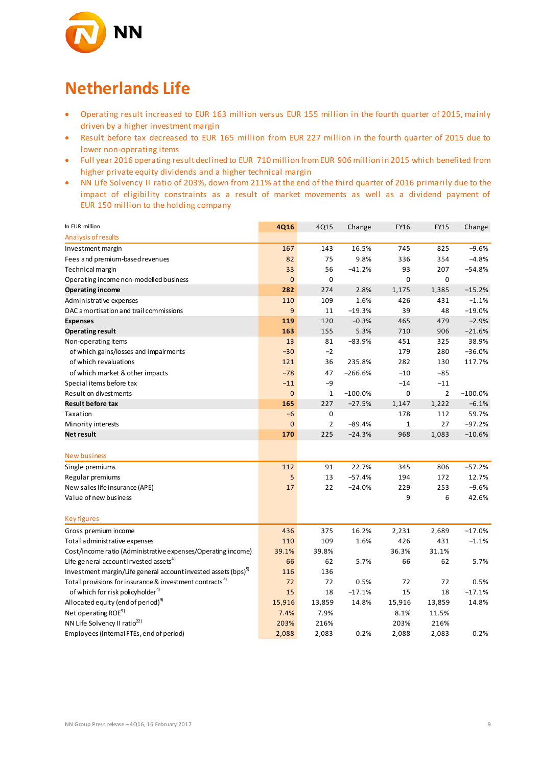

### **Netherlands Life**

- Operating result increased to EUR 163 million versus EUR 155 million in the fourth quarter of 2015, mainly driven by a higher investment margin
- Result before tax decreased to EUR 165 million from EUR 227 million in the fourth quarter of 2015 due to lower non-operating items
- Full year 2016 operating result declined to EUR 710 million from EUR 906 million in 2015 which benefited from higher private equity dividends and a higher technical margin
- NN Life Solvency II ratio of 203%, down from 211% at the end of the third quarter of 2016 primarily due to the impact of eligibility constraints as a result of market movements as well as a dividend payment of EUR 150 million to the holding company

| In EUR million<br>Analysis of results                                      | <b>4Q16</b>    | 4Q15           | Change    | <b>FY16</b>  | <b>FY15</b>    | Change    |
|----------------------------------------------------------------------------|----------------|----------------|-----------|--------------|----------------|-----------|
| Investment margin                                                          | 167            | 143            | 16.5%     | 745          | 825            | $-9.6%$   |
| Fees and premium-based revenues                                            | 82             | 75             | 9.8%      | 336          | 354            | $-4.8%$   |
| Technical margin                                                           | 33             | 56             | $-41.2%$  | 93           | 207            | $-54.8%$  |
| Operating income non-modelled business                                     | $\mathbf 0$    | $\mathbf 0$    |           | $\mathbf 0$  | 0              |           |
| <b>Operating income</b>                                                    | 282            | 274            | 2.8%      | 1,175        | 1,385          | $-15.2%$  |
| Administrative expenses                                                    | 110            | 109            | 1.6%      | 426          | 431            | $-1.1%$   |
| DAC amortisation and trail commissions                                     | 9              | 11             | $-19.3%$  | 39           | 48             | $-19.0%$  |
| <b>Expenses</b>                                                            | 119            | 120            | $-0.3%$   | 465          | 479            | $-2.9%$   |
| <b>Operating result</b>                                                    | 163            | 155            | 5.3%      | 710          | 906            | $-21.6%$  |
| Non-operating items                                                        | 13             | 81             | $-83.9%$  | 451          | 325            | 38.9%     |
| of which gains/losses and impairments                                      | $-30$          | $-2$           |           | 179          | 280            | $-36.0%$  |
| of which revaluations                                                      | 121            | 36             | 235.8%    | 282          | 130            | 117.7%    |
| of which market & other impacts                                            | $-78$          | 47             | $-266.6%$ | $-10$        | $-85$          |           |
| Special items before tax                                                   | $-11$          | $-9$           |           | $-14$        | $-11$          |           |
| Result on divestments                                                      | $\mathbf{0}$   | $\mathbf{1}$   | $-100.0%$ | 0            | $\overline{2}$ | $-100.0%$ |
| <b>Result before tax</b>                                                   | 165            | 227            | $-27.5%$  | 1,147        | 1,222          | $-6.1%$   |
| Taxation                                                                   | $-6$           | 0              |           | 178          | 112            | 59.7%     |
| Minority interests                                                         | $\overline{0}$ | $\overline{2}$ | $-89.4%$  | $\mathbf{1}$ | 27             | $-97.2%$  |
| Net result                                                                 | 170            | 225            | $-24.3%$  | 968          | 1,083          | $-10.6%$  |
|                                                                            |                |                |           |              |                |           |
| <b>New business</b>                                                        |                |                |           |              |                |           |
| Single premiums                                                            | 112            | 91             | 22.7%     | 345          | 806            | $-57.2%$  |
| Regular premiums                                                           | 5              | 13             | $-57.4%$  | 194          | 172            | 12.7%     |
| New sales life insurance (APE)                                             | 17             | 22             | $-24.0%$  | 229          | 253            | $-9.6%$   |
| Value of new business                                                      |                |                |           | 9            | 6              | 42.6%     |
|                                                                            |                |                |           |              |                |           |
| <b>Key figures</b>                                                         |                |                |           |              |                |           |
| Gross premium income                                                       | 436            | 375            | 16.2%     | 2,231        | 2,689          | $-17.0%$  |
| Total administrative expenses                                              | 110            | 109            | 1.6%      | 426          | 431            | $-1.1%$   |
| Cost/income ratio (Administrative expenses/Operating income)               | 39.1%          | 39.8%          |           | 36.3%        | 31.1%          |           |
| Life general account invested assets <sup>4)</sup>                         | 66             | 62             | 5.7%      | 66           | 62             | 5.7%      |
| Investment margin/Life general account invested assets (bps) <sup>5)</sup> | 116            | 136            |           |              |                |           |
| Total provisions for insurance & investment contracts <sup>4)</sup>        | 72             | 72             | 0.5%      | 72           | 72             | 0.5%      |
| of which for risk policyholder <sup>4)</sup>                               | 15             | 18             | $-17.1%$  | 15           | 18             | $-17.1%$  |
| Allocated equity (end of period) <sup>9)</sup>                             | 15,916         | 13,859         | 14.8%     | 15,916       | 13,859         | 14.8%     |
| Net operating ROE <sup>9)</sup>                                            | 7.4%           | 7.9%           |           | 8.1%         | 11.5%          |           |
| NN Life Solvency II ratio <sup>22)</sup>                                   | 203%           | 216%           |           | 203%         | 216%           |           |
| Employees (internal FTEs, end of period)                                   | 2,088          | 2,083          | 0.2%      | 2,088        | 2,083          | 0.2%      |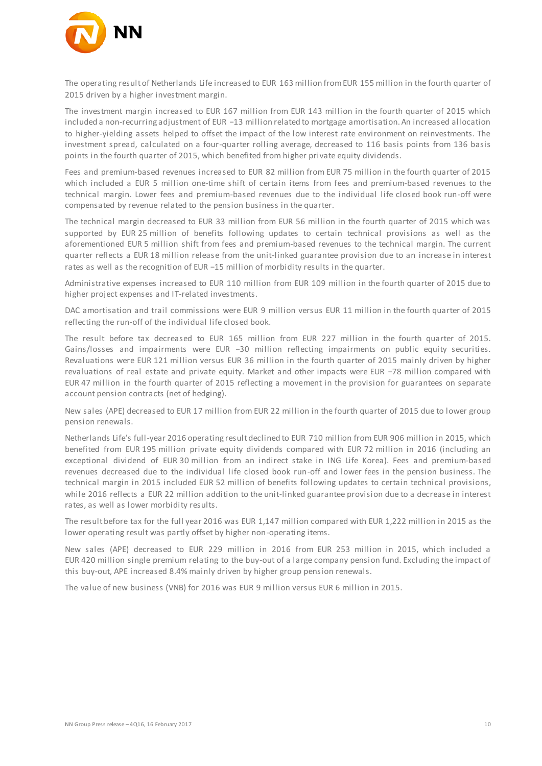

The operating result of Netherlands Life increased to EUR 163 million from EUR 155 million in the fourth quarter of 2015 driven by a higher investment margin.

The investment margin increased to EUR 167 million from EUR 143 million in the fourth quarter of 2015 which included a non-recurring adjustment of EUR −13 million related to mortgage amortisation. An increased allocation to higher-yielding assets helped to offset the impact of the low interest rate environment on reinvestments. The investment spread, calculated on a four-quarter rolling average, decreased to 116 basis points from 136 basis points in the fourth quarter of 2015, which benefited from higher private equity dividends.

Fees and premium-based revenues increased to EUR 82 million from EUR 75 million in the fourth quarter of 2015 which included a EUR 5 million one-time shift of certain items from fees and premium-based revenues to the technical margin. Lower fees and premium-based revenues due to the individual life closed book run-off were compensated by revenue related to the pension business in the quarter.

The technical margin decreased to EUR 33 million from EUR 56 million in the fourth quarter of 2015 which was supported by EUR 25 million of benefits following updates to certain technical provisions as well as the aforementioned EUR 5 million shift from fees and premium-based revenues to the technical margin. The current quarter reflects a EUR 18 million release from the unit-linked guarantee provision due to an increase in interest rates as well as the recognition of EUR −15 million of morbidity results in the quarter.

Administrative expenses increased to EUR 110 million from EUR 109 million in the fourth quarter of 2015 due to higher project expenses and IT-related investments.

DAC amortisation and trail commissions were EUR 9 million versus EUR 11 million in the fourth quarter of 2015 reflecting the run-off of the individual life closed book.

The result before tax decreased to EUR 165 million from EUR 227 million in the fourth quarter of 2015. Gains/losses and impairments were EUR −30 million reflecting impairments on public equity securities. Revaluations were EUR 121 million versus EUR 36 million in the fourth quarter of 2015 mainly driven by higher revaluations of real estate and private equity. Market and other impacts were EUR −78 million compared with EUR 47 million in the fourth quarter of 2015 reflecting a movement in the provision for guarantees on separate account pension contracts (net of hedging).

New sales (APE) decreased to EUR 17 million from EUR 22 million in the fourth quarter of 2015 due to lower group pension renewals.

Netherlands Life's full-year 2016 operating result declined to EUR 710 million from EUR 906 million in 2015, which benefited from EUR 195 million private equity dividends compared with EUR 72 million in 2016 (including an exceptional dividend of EUR 30 million from an indirect stake in ING Life Korea). Fees and premium-based revenues decreased due to the individual life closed book run-off and lower fees in the pension business. The technical margin in 2015 included EUR 52 million of benefits following updates to certain technical provisions, while 2016 reflects a EUR 22 million addition to the unit-linked guarantee provision due to a decrease in interest rates, as well as lower morbidity results.

The result before tax for the full year 2016 was EUR 1,147 million compared with EUR 1,222 million in 2015 as the lower operating result was partly offset by higher non-operating items.

New sales (APE) decreased to EUR 229 million in 2016 from EUR 253 million in 2015, which included a EUR 420 million single premium relating to the buy-out of a large company pension fund. Excluding the impact of this buy-out, APE increased 8.4% mainly driven by higher group pension renewals.

The value of new business (VNB) for 2016 was EUR 9 million versus EUR 6 million in 2015.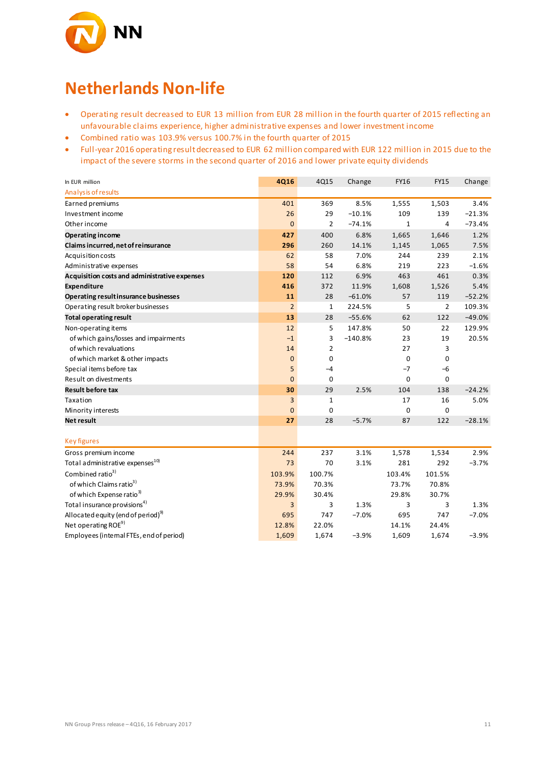

## **Netherlands Non-life**

- Operating result decreased to EUR 13 million from EUR 28 million in the fourth quarter of 2015 reflecting an unfavourable claims experience, higher administrative expenses and lower investment income
- Combined ratio was 103.9% versus 100.7% in the fourth quarter of 2015
- Full-year 2016 operating result decreased to EUR 62 million compared with EUR 122 million in 2015 due to the impact of the severe storms in the second quarter of 2016 and lower private equity dividends

| In EUR million                                 | 4Q16           | 4Q15           | Change    | <b>FY16</b>    | <b>FY15</b>    | Change   |
|------------------------------------------------|----------------|----------------|-----------|----------------|----------------|----------|
| Analysis of results                            |                |                |           |                |                |          |
| Earned premiums                                | 401            | 369            | 8.5%      | 1,555          | 1,503          | 3.4%     |
| Investment income                              | 26             | 29             | $-10.1%$  | 109            | 139            | $-21.3%$ |
| Other income                                   | $\bf{0}$       | 2              | $-74.1%$  | 1              | 4              | $-73.4%$ |
| Operating income                               | 427            | 400            | 6.8%      | 1,665          | 1,646          | 1.2%     |
| Claims incurred, net of reinsurance            | 296            | 260            | 14.1%     | 1,145          | 1,065          | 7.5%     |
| Acquisition costs                              | 62             | 58             | 7.0%      | 244            | 239            | 2.1%     |
| Administrative expenses                        | 58             | 54             | 6.8%      | 219            | 223            | $-1.6%$  |
| Acquisition costs and administrative expenses  | 120            | 112            | 6.9%      | 463            | 461            | 0.3%     |
| <b>Expenditure</b>                             | 416            | 372            | 11.9%     | 1,608          | 1,526          | 5.4%     |
| Operating result insurance businesses          | 11             | 28             | $-61.0%$  | 57             | 119            | $-52.2%$ |
| Operating result broker businesses             | $\overline{2}$ | $\mathbf{1}$   | 224.5%    | 5              | $\overline{2}$ | 109.3%   |
| <b>Total operating result</b>                  | 13             | 28             | $-55.6%$  | 62             | 122            | $-49.0%$ |
| Non-operating items                            | 12             | 5              | 147.8%    | 50             | 22             | 129.9%   |
| of which gains/losses and impairments          | $-1$           | 3              | $-140.8%$ | 23             | 19             | 20.5%    |
| of which revaluations                          | 14             | $\overline{2}$ |           | 27             | 3              |          |
| of which market & other impacts                | $\mathbf{0}$   | 0              |           | 0              | 0              |          |
| Special items before tax                       | 5              | $-4$           |           | $-7$           | $-6$           |          |
| Result on divestments                          | $\overline{0}$ | 0              |           | $\overline{0}$ | 0              |          |
| <b>Result before tax</b>                       | 30             | 29             | 2.5%      | 104            | 138            | $-24.2%$ |
| Taxation                                       | 3              | $\mathbf{1}$   |           | 17             | 16             | 5.0%     |
| Minority interests                             | $\overline{0}$ | 0              |           | $\mathbf 0$    | $\mathbf 0$    |          |
| <b>Net result</b>                              | 27             | 28             | $-5.7%$   | 87             | 122            | $-28.1%$ |
|                                                |                |                |           |                |                |          |
| <b>Key figures</b>                             |                |                |           |                |                |          |
| Gross premium income                           | 244            | 237            | 3.1%      | 1,578          | 1,534          | 2.9%     |
| Total administrative expenses <sup>10)</sup>   | 73             | 70             | 3.1%      | 281            | 292            | $-3.7%$  |
| Combined ratio <sup>3)</sup>                   | 103.9%         | 100.7%         |           | 103.4%         | 101.5%         |          |
| of which Claims ratio <sup>3)</sup>            | 73.9%          | 70.3%          |           | 73.7%          | 70.8%          |          |
| of which Expense ratio <sup>3)</sup>           | 29.9%          | 30.4%          |           | 29.8%          | 30.7%          |          |
| Total insurance provisions <sup>4)</sup>       | 3              | 3              | 1.3%      | 3              | 3              | 1.3%     |
| Allocated equity (end of period) <sup>9)</sup> | 695            | 747            | $-7.0%$   | 695            | 747            | $-7.0%$  |
| Net operating ROE <sup>9)</sup>                | 12.8%          | 22.0%          |           | 14.1%          | 24.4%          |          |
| Employees (internal FTEs, end of period)       | 1,609          | 1,674          | $-3.9%$   | 1,609          | 1,674          | $-3.9%$  |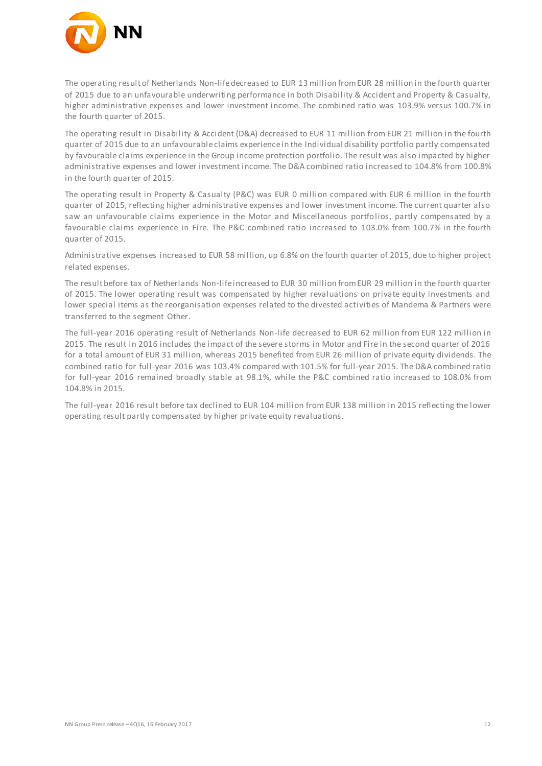

The operating result of Netherlands Non-life decreased to EUR 13 million from EUR 28 million in the fourth quarter of 2015 due to an unfavourable underwriting performance in both Disability & Accident and Property & Casualty, higher administrative expenses and lower investment income. The combined ratio was 103.9% versus 100.7% in the fourth quarter of 2015.

The operating result in Disability & Accident (D&A) decreased to EUR 11 million from EUR 21 million in the fourth quarter of 2015 due to an unfavourable claims experience in the Individual disability portfolio partly compensated by favourable claims experience in the Group income protection portfolio. The result was also impacted by higher administrative expenses and lower investment income. The D&A combined ratio increased to 104.8% from 100.8% in the fourth quarter of 2015.

The operating result in Property & Casualty (P&C) was EUR 0 million compared with EUR 6 million in the fourth quarter of 2015, reflecting higher administrative expenses and lower investment income. The current quarter also saw an unfavourable claims experience in the Motor and Miscellaneous portfolios, partly compensated by a favourable claims experience in Fire. The P&C combined ratio increased to 103.0% from 100.7% in the fourth quarter of 2015.

Administrative expenses increased to EUR 58 million, up 6.8% on the fourth quarter of 2015, due to higher project related expenses.

The result before tax of Netherlands Non-life increased to EUR 30 million from EUR 29 million in the fourth quarter of 2015. The lower operating result was compensated by higher revaluations on private equity investments and lower special items as the reorganisation expenses related to the divested activities of Mandema & Partners were transferred to the segment Other.

The full-year 2016 operating result of Netherlands Non-life decreased to EUR 62 million from EUR 122 million in 2015. The result in 2016 includes the impact of the severe storms in Motor and Fire in the second quarter of 2016 for a total amount of EUR 31 million, whereas 2015 benefited from EUR 26 million of private equity dividends. The combined ratio for full-year 2016 was 103.4% compared with 101.5% for full-year 2015. The D&A combined ratio for full-year 2016 remained broadly stable at 98.1%, while the P&C combined ratio increased to 108.0% from 104.8% in 2015.

The full-year 2016 result before tax declined to EUR 104 million from EUR 138 million in 2015 reflecting the lower operating result partly compensated by higher private equity revaluations.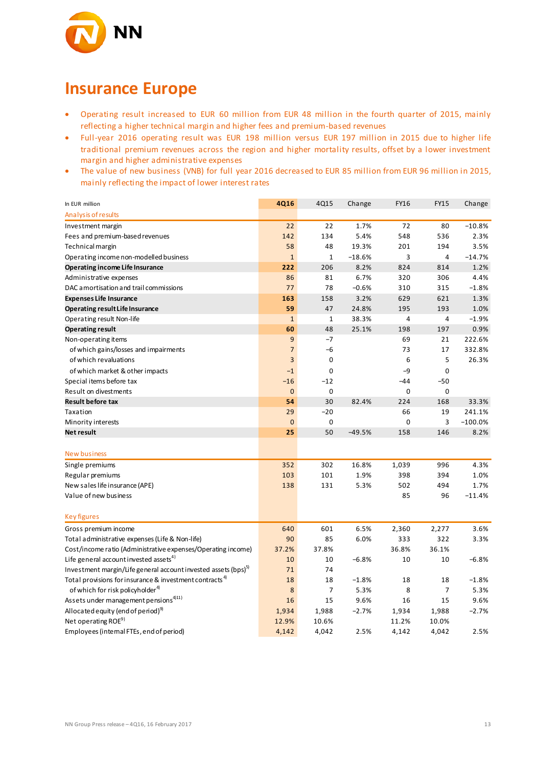

### **Insurance Europe**

- Operating result increased to EUR 60 million from EUR 48 million in the fourth quarter of 2015, mainly reflecting a higher technical margin and higher fees and premium-based revenues
- Full-year 2016 operating result was EUR 198 million versus EUR 197 million in 2015 due to higher life traditional premium revenues across the region and higher mortality results, offset by a lower investment margin and higher administrative expenses
- The value of new business (VNB) for full year 2016 decreased to EUR 85 million from EUR 96 million in 2015, mainly reflecting the impact of lower interest rates

| In EUR million                                                             | 4Q16           | 4Q15           | Change   | <b>FY16</b> | <b>FY15</b> | Change    |
|----------------------------------------------------------------------------|----------------|----------------|----------|-------------|-------------|-----------|
| Analysis of results                                                        |                |                |          |             |             |           |
| Investment margin                                                          | 22             | 22             | 1.7%     | 72          | 80          | $-10.8%$  |
| Fees and premium-based revenues                                            | 142            | 134            | 5.4%     | 548         | 536         | 2.3%      |
| Technical margin                                                           | 58             | 48             | 19.3%    | 201         | 194         | 3.5%      |
| Operating income non-modelled business                                     | $\mathbf{1}$   | $\mathbf{1}$   | $-18.6%$ | 3           | 4           | $-14.7%$  |
| Operating income Life Insurance                                            | 222            | 206            | 8.2%     | 824         | 814         | 1.2%      |
| Administrative expenses                                                    | 86             | 81             | 6.7%     | 320         | 306         | 4.4%      |
| DAC amortisation and trail commissions                                     | 77             | 78             | $-0.6%$  | 310         | 315         | $-1.8%$   |
| <b>Expenses Life Insurance</b>                                             | 163            | 158            | 3.2%     | 629         | 621         | 1.3%      |
| Operating result Life Insurance                                            | 59             | 47             | 24.8%    | 195         | 193         | 1.0%      |
| Operating result Non-life                                                  | $\mathbf{1}$   | $\mathbf{1}$   | 38.3%    | 4           | 4           | $-1.9%$   |
| <b>Operating result</b>                                                    | 60             | 48             | 25.1%    | 198         | 197         | 0.9%      |
| Non-operating items                                                        | 9              | -7             |          | 69          | 21          | 222.6%    |
| of which gains/losses and impairments                                      | $\overline{7}$ | -6             |          | 73          | 17          | 332.8%    |
| of which revaluations                                                      | 3              | 0              |          | 6           | 5           | 26.3%     |
| of which market & other impacts                                            | $-1$           | 0              |          | $-9$        | $\mathbf 0$ |           |
| Special items before tax                                                   | $-16$          | $-12$          |          | -44         | $-50$       |           |
| Result on divestments                                                      | $\mathbf{0}$   | 0              |          | $\mathbf 0$ | 0           |           |
| <b>Result before tax</b>                                                   | 54             | 30             | 82.4%    | 224         | 168         | 33.3%     |
| Taxation                                                                   | 29             | $-20$          |          | 66          | 19          | 241.1%    |
| Minority interests                                                         | $\mathbf{0}$   | 0              |          | 0           | 3           | $-100.0%$ |
| <b>Net result</b>                                                          | 25             | 50             | $-49.5%$ | 158         | 146         | 8.2%      |
|                                                                            |                |                |          |             |             |           |
| New business                                                               |                |                |          |             |             |           |
| Single premiums                                                            | 352            | 302            | 16.8%    | 1,039       | 996         | 4.3%      |
| Regular premiums                                                           | 103            | 101            | 1.9%     | 398         | 394         | 1.0%      |
| New sales life insurance (APE)                                             | 138            | 131            | 5.3%     | 502         | 494         | 1.7%      |
| Value of new business                                                      |                |                |          | 85          | 96          | $-11.4%$  |
| <b>Key figures</b>                                                         |                |                |          |             |             |           |
| Gross premium income                                                       | 640            | 601            | 6.5%     | 2,360       | 2,277       | 3.6%      |
| Total administrative expenses (Life & Non-life)                            | 90             | 85             | 6.0%     | 333         | 322         | 3.3%      |
| Cost/income ratio (Administrative expenses/Operating income)               | 37.2%          | 37.8%          |          | 36.8%       | 36.1%       |           |
| Life general account invested assets <sup>4)</sup>                         | 10             | 10             | $-6.8%$  | 10          | 10          | $-6.8%$   |
| Investment margin/Life general account invested assets (bps) <sup>5)</sup> | 71             | 74             |          |             |             |           |
| Total provisions for insurance & investment contracts <sup>4)</sup>        | 18             | 18             | $-1.8%$  | 18          | 18          | $-1.8%$   |
| of which for risk policyholder <sup>4)</sup>                               | 8              | $\overline{7}$ | 5.3%     | 8           | 7           | 5.3%      |
| Assets under management pensions <sup>4)11)</sup>                          | 16             | 15             | 9.6%     | 16          | 15          | 9.6%      |
| Allocated equity (end of period) <sup>9)</sup>                             | 1,934          | 1,988          | $-2.7%$  | 1,934       | 1,988       | $-2.7%$   |
| Net operating ROE <sup>9)</sup>                                            | 12.9%          | 10.6%          |          | 11.2%       | 10.0%       |           |
| Employees (internal FTEs, end of period)                                   | 4,142          | 4,042          | 2.5%     | 4,142       | 4,042       | 2.5%      |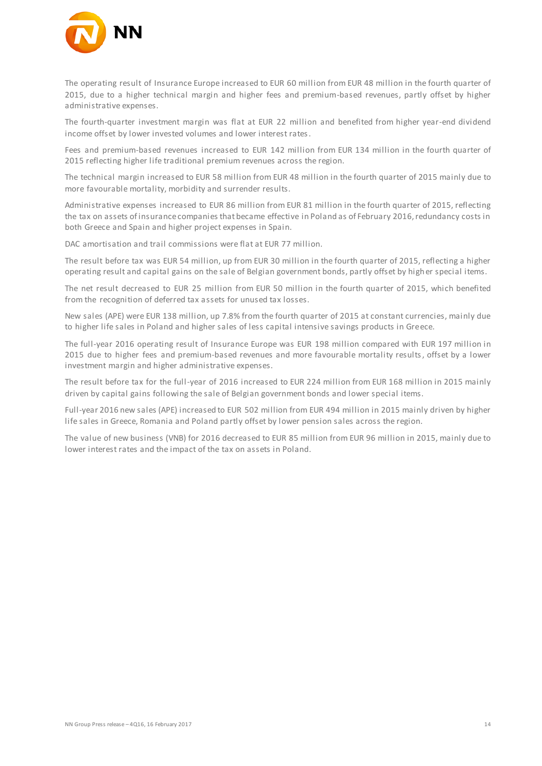

The operating result of Insurance Europe increased to EUR 60 million from EUR 48 million in the fourth quarter of 2015, due to a higher technical margin and higher fees and premium-based revenues, partly offset by higher administrative expenses.

The fourth-quarter investment margin was flat at EUR 22 million and benefited from higher year-end dividend income offset by lower invested volumes and lower interest rates.

Fees and premium-based revenues increased to EUR 142 million from EUR 134 million in the fourth quarter of 2015 reflecting higher life traditional premium revenues across the region.

The technical margin increased to EUR 58 million from EUR 48 million in the fourth quarter of 2015 mainly due to more favourable mortality, morbidity and surrender results.

Administrative expenses increased to EUR 86 million from EUR 81 million in the fourth quarter of 2015, reflecting the tax on assets of insurance companies that became effective in Poland as of February 2016, redundancy costs in both Greece and Spain and higher project expenses in Spain.

DAC amortisation and trail commissions were flat at EUR 77 million.

The result before tax was EUR 54 million, up from EUR 30 million in the fourth quarter of 2015, reflecting a higher operating result and capital gains on the sale of Belgian government bonds, partly offset by higher special items.

The net result decreased to EUR 25 million from EUR 50 million in the fourth quarter of 2015, which benefited from the recognition of deferred tax assets for unused tax losses.

New sales (APE) were EUR 138 million, up 7.8% from the fourth quarter of 2015 at constant currencies, mainly due to higher life sales in Poland and higher sales of less capital intensive savings products in Greece.

The full-year 2016 operating result of Insurance Europe was EUR 198 million compared with EUR 197 million in 2015 due to higher fees and premium-based revenues and more favourable mortality results, offset by a lower investment margin and higher administrative expenses.

The result before tax for the full-year of 2016 increased to EUR 224 million from EUR 168 million in 2015 mainly driven by capital gains following the sale of Belgian government bonds and lower special items.

Full-year 2016 new sales (APE) increased to EUR 502 million from EUR 494 million in 2015 mainly driven by higher life sales in Greece, Romania and Poland partly offset by lower pension sales across the region.

The value of new business (VNB) for 2016 decreased to EUR 85 million from EUR 96 million in 2015, mainly due to lower interest rates and the impact of the tax on assets in Poland.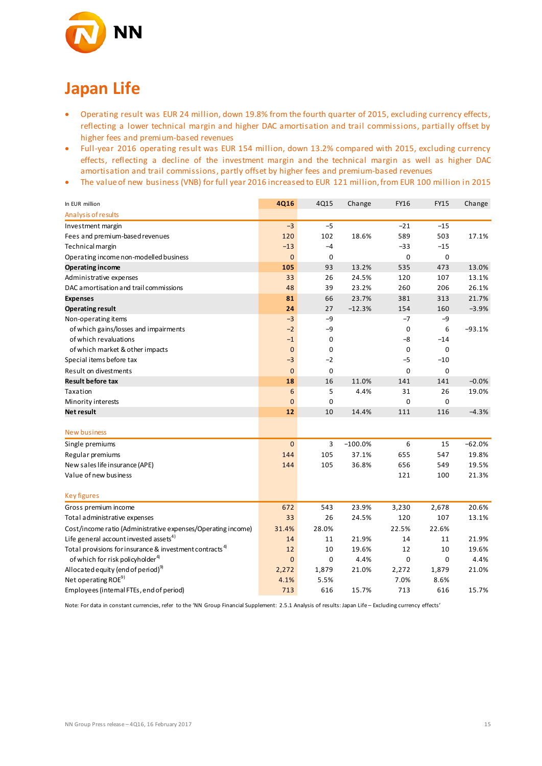

## **Japan Life**

- Operating result was EUR 24 million, down 19.8% from the fourth quarter of 2015, excluding currency effects, reflecting a lower technical margin and higher DAC amortisation and trail commissions, partially offset by higher fees and premium-based revenues
- Full-year 2016 operating result was EUR 154 million, down 13.2% compared with 2015, excluding currency effects, reflecting a decline of the investment margin and the technical margin as well as higher DAC amortisation and trail commissions, partly offset by higher fees and premium-based revenues
- The value of new business (VNB) for full year 2016 increased to EUR 121 million, from EUR 100 million in 2015

| In EUR million                                                      | 4Q16           | 4Q15        | Change    | FY16        | <b>FY15</b> | Change   |
|---------------------------------------------------------------------|----------------|-------------|-----------|-------------|-------------|----------|
| Analysis of results                                                 |                |             |           |             |             |          |
| Investment margin                                                   | $-3$           | $-5$        |           | $-21$       | $-15$       |          |
| Fees and premium-based revenues                                     | 120            | 102         | 18.6%     | 589         | 503         | 17.1%    |
| Technical margin                                                    | $-13$          | $-4$        |           | $-33$       | $-15$       |          |
| Operating income non-modelled business                              | $\mathbf{0}$   | 0           |           | $\mathbf 0$ | $\mathbf 0$ |          |
| Operating income                                                    | 105            | 93          | 13.2%     | 535         | 473         | 13.0%    |
| Administrative expenses                                             | 33             | 26          | 24.5%     | 120         | 107         | 13.1%    |
| DAC amortisation and trail commissions                              | 48             | 39          | 23.2%     | 260         | 206         | 26.1%    |
| <b>Expenses</b>                                                     | 81             | 66          | 23.7%     | 381         | 313         | 21.7%    |
| <b>Operating result</b>                                             | 24             | 27          | $-12.3%$  | 154         | 160         | $-3.9%$  |
| Non-operating items                                                 | $-3$           | -9          |           | $-7$        | -9          |          |
| of which gains/losses and impairments                               | $-2$           | -9          |           | 0           | 6           | -93.1%   |
| of which revaluations                                               | $-1$           | 0           |           | -8          | $-14$       |          |
| of which market & other impacts                                     | $\mathbf{0}$   | 0           |           | 0           | 0           |          |
| Special items before tax                                            | $-3$           | $-2$        |           | -5          | $-10$       |          |
| Result on divestments                                               | $\overline{0}$ | $\mathbf 0$ |           | 0           | 0           |          |
| <b>Result before tax</b>                                            | 18             | 16          | 11.0%     | 141         | 141         | $-0.0%$  |
| Taxation                                                            | 6              | 5           | 4.4%      | 31          | 26          | 19.0%    |
| Minority interests                                                  | $\overline{0}$ | 0           |           | 0           | 0           |          |
| <b>Net result</b>                                                   | 12             | 10          | 14.4%     | 111         | 116         | $-4.3%$  |
|                                                                     |                |             |           |             |             |          |
| <b>New business</b>                                                 |                |             |           |             |             |          |
| Single premiums                                                     | $\mathbf 0$    | 3           | $-100.0%$ | 6           | 15          | $-62.0%$ |
| Regular premiums                                                    | 144            | 105         | 37.1%     | 655         | 547         | 19.8%    |
| New sales life insurance (APE)                                      | 144            | 105         | 36.8%     | 656         | 549         | 19.5%    |
| Value of new business                                               |                |             |           | 121         | 100         | 21.3%    |
| <b>Key figures</b>                                                  |                |             |           |             |             |          |
| Gross premium income                                                | 672            | 543         | 23.9%     | 3,230       | 2,678       | 20.6%    |
| Total administrative expenses                                       | 33             | 26          | 24.5%     | 120         | 107         | 13.1%    |
| Cost/income ratio (Administrative expenses/Operating income)        | 31.4%          | 28.0%       |           | 22.5%       | 22.6%       |          |
| Life general account invested assets <sup>4)</sup>                  | 14             | 11          | 21.9%     | 14          | 11          | 21.9%    |
| Total provisions for insurance & investment contracts <sup>4)</sup> | 12             | 10          | 19.6%     | 12          | 10          | 19.6%    |
| of which for risk policyholder <sup>4)</sup>                        | $\mathbf{0}$   | 0           | 4.4%      | 0           | 0           | 4.4%     |
| Allocated equity (end of period) <sup>9)</sup>                      | 2,272          | 1,879       | 21.0%     | 2,272       | 1,879       | 21.0%    |
| Net operating ROE <sup>9)</sup>                                     | 4.1%           | 5.5%        |           | 7.0%        | 8.6%        |          |
| Employees (internal FTEs, end of period)                            | 713            | 616         | 15.7%     | 713         | 616         | 15.7%    |

Note: For data in constant currencies, refer to the 'NN Group Financial Supplement: 2.5.1 Analysis of results: Japan Life – Excluding currency effects'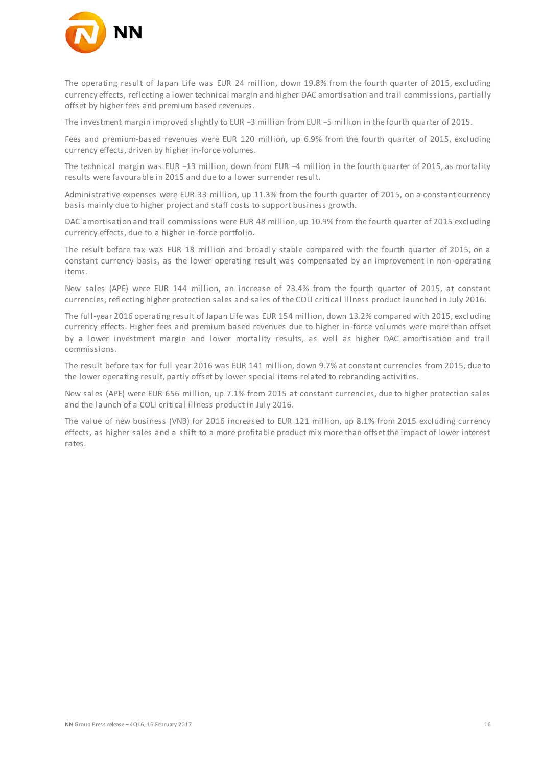

The operating result of Japan Life was EUR 24 million, down 19.8% from the fourth quarter of 2015, excluding currency effects, reflecting a lower technical margin and higher DAC amortisation and trail commissions, partially offset by higher fees and premium based revenues.

The investment margin improved slightly to EUR −3 million from EUR −5 million in the fourth quarter of 2015.

Fees and premium-based revenues were EUR 120 million, up 6.9% from the fourth quarter of 2015, excluding currency effects, driven by higher in-force volumes.

The technical margin was EUR −13 million, down from EUR −4 million in the fourth quarter of 2015, as mortality results were favourable in 2015 and due to a lower surrender result.

Administrative expenses were EUR 33 million, up 11.3% from the fourth quarter of 2015, on a constant currency basis mainly due to higher project and staff costs to support business growth.

DAC amortisation and trail commissions were EUR 48 million, up 10.9% from the fourth quarter of 2015 excluding currency effects, due to a higher in-force portfolio.

The result before tax was EUR 18 million and broadly stable compared with the fourth quarter of 2015, on a constant currency basis, as the lower operating result was compensated by an improvement in non -operating items.

New sales (APE) were EUR 144 million, an increase of 23.4% from the fourth quarter of 2015, at constant currencies, reflecting higher protection sales and sales of the COLI critical illness product launched in July 2016.

The full-year 2016 operating result of Japan Life was EUR 154 million, down 13.2% compared with 2015, excluding currency effects. Higher fees and premium based revenues due to higher in-force volumes were more than offset by a lower investment margin and lower mortality results, as well as higher DAC amortisation and trail commissions.

The result before tax for full year 2016 was EUR 141 million, down 9.7% at constant currencies from 2015, due to the lower operating result, partly offset by lower special items related to rebranding activities.

New sales (APE) were EUR 656 million, up 7.1% from 2015 at constant currencies, due to higher protection sales and the launch of a COLI critical illness product in July 2016.

The value of new business (VNB) for 2016 increased to EUR 121 million, up 8.1% from 2015 excluding currency effects, as higher sales and a shift to a more profitable product mix more than offset the impact of lower interest rates.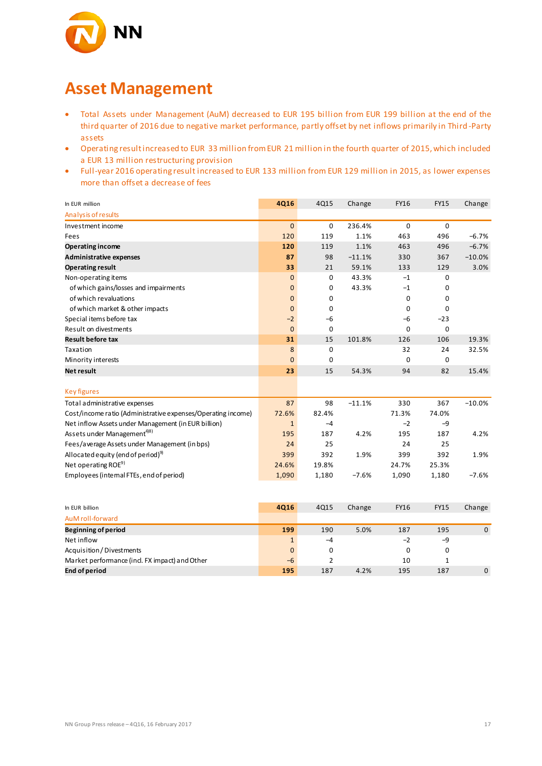

### **Asset Management**

- Total Assets under Management (AuM) decreased to EUR 195 billion from EUR 199 billion at the end of the third quarter of 2016 due to negative market performance, partly offset by net inflows primarily in Third -Party assets
- Operating result increased to EUR 33 million from EUR 21 million in the fourth quarter of 2015, which included a EUR 13 million restructuring provision
- Full-year 2016 operating result increased to EUR 133 million from EUR 129 million in 2015, as lower expenses more than offset a decrease of fees

| In EUR million                                               | 4Q16         | 4Q15             | Change   | <b>FY16</b> | <b>FY15</b> | Change      |
|--------------------------------------------------------------|--------------|------------------|----------|-------------|-------------|-------------|
| Analysis of results                                          |              |                  |          |             |             |             |
| Investment income                                            | $\mathbf{0}$ | $\mathbf 0$      | 236.4%   | $\mathbf 0$ | $\mathbf 0$ |             |
| Fees                                                         | 120          | 119              | 1.1%     | 463         | 496         | $-6.7%$     |
| <b>Operating income</b>                                      | 120          | 119              | 1.1%     | 463         | 496         | $-6.7%$     |
| <b>Administrative expenses</b>                               | 87           | 98               | $-11.1%$ | 330         | 367         | $-10.0%$    |
| <b>Operating result</b>                                      | 33           | 21               | 59.1%    | 133         | 129         | 3.0%        |
| Non-operating items                                          | $\mathbf{0}$ | 0                | 43.3%    | $-1$        | 0           |             |
| of which gains/losses and impairments                        | $\mathbf{0}$ | 0                | 43.3%    | $-1$        | 0           |             |
| of which revaluations                                        | $\mathbf{0}$ | 0                |          | 0           | 0           |             |
| of which market & other impacts                              | $\mathbf{0}$ | 0                |          | $\mathbf 0$ | $\mathbf 0$ |             |
| Special items before tax                                     | $-2$         | $-6$             |          | $-6$        | $-23$       |             |
| Result on divestments                                        | $\mathbf{0}$ | $\mathbf 0$      |          | $\mathbf 0$ | $\mathbf 0$ |             |
| <b>Result before tax</b>                                     | 31           | 15               | 101.8%   | 126         | 106         | 19.3%       |
| Taxation                                                     | 8            | $\boldsymbol{0}$ |          | 32          | 24          | 32.5%       |
| Minority interests                                           | $\mathbf{0}$ | 0                |          | 0           | 0           |             |
| <b>Net result</b>                                            | 23           | 15               | 54.3%    | 94          | 82          | 15.4%       |
| <b>Key figures</b>                                           |              |                  |          |             |             |             |
| Total administrative expenses                                | 87           | 98               | $-11.1%$ | 330         | 367         | $-10.0%$    |
| Cost/income ratio (Administrative expenses/Operating income) | 72.6%        | 82.4%            |          | 71.3%       | 74.0%       |             |
| Net inflow Assets under Management (in EUR billion)          | $\mathbf{1}$ | $-4$             |          | $-2$        | $-9$        |             |
| Assets under Management <sup>4)8)</sup>                      | 195          | 187              | 4.2%     | 195         | 187         | 4.2%        |
| Fees/average Assets under Management (in bps)                | 24           | 25               |          | 24          | 25          |             |
| Allocated equity (end of period) <sup>9)</sup>               | 399          | 392              | 1.9%     | 399         | 392         | 1.9%        |
| Net operating ROE <sup>9)</sup>                              | 24.6%        | 19.8%            |          | 24.7%       | 25.3%       |             |
| Employees (internal FTEs, end of period)                     | 1,090        | 1,180            | $-7.6%$  | 1,090       | 1,180       | $-7.6%$     |
|                                                              |              |                  |          |             |             |             |
| In EUR billion                                               | 4Q16         | 4Q15             | Change   | <b>FY16</b> | <b>FY15</b> | Change      |
| AuM roll-forward                                             |              |                  |          |             |             |             |
| <b>Beginning of period</b>                                   | 199          | 190              | 5.0%     | 187         | 195         | $\mathbf 0$ |
| Net inflow                                                   | $\mathbf{1}$ | $-4$             |          | $-2$        | $-9$        |             |
| Acquisition / Divestments                                    | $\mathbf{0}$ | 0                |          | 0           | 0           |             |
| Market performance (incl. FX impact) and Other               | $-6$         | 2                |          | 10          | 1           |             |
| <b>End of period</b>                                         | 195          | 187              | 4.2%     | 195         | 187         | 0           |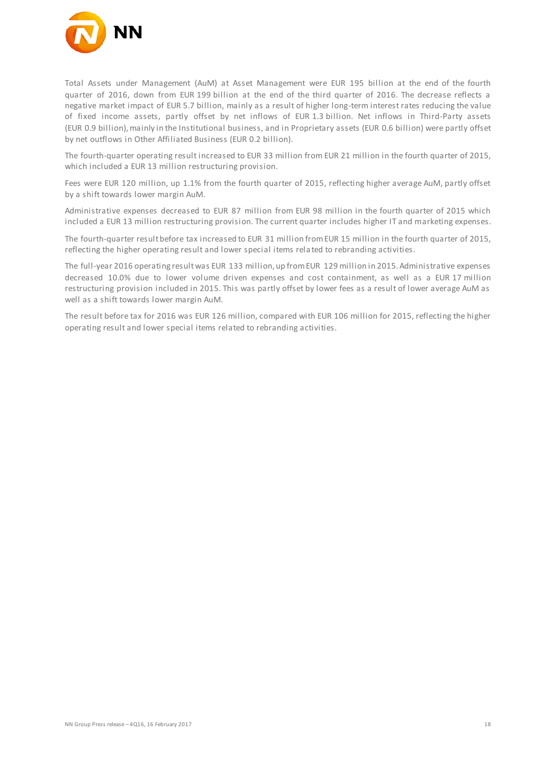

Total Assets under Management (AuM) at Asset Management were EUR 195 billion at the end of the fourth quarter of 2016, down from EUR 199 billion at the end of the third quarter of 2016. The decrease reflects a negative market impact of EUR 5.7 billion, mainly as a result of higher long-term interest rates reducing the value of fixed income assets, partly offset by net inflows of EUR 1.3 billion. Net inflows in Third-Party assets (EUR 0.9 billion), mainly in the Institutional business, and in Proprietary assets (EUR 0.6 billion) were partly offset by net outflows in Other Affiliated Business (EUR 0.2 billion).

The fourth-quarter operating result increased to EUR 33 million from EUR 21 million in the fourth quarter of 2015, which included a EUR 13 million restructuring provision.

Fees were EUR 120 million, up 1.1% from the fourth quarter of 2015, reflecting higher average AuM, partly offset by a shift towards lower margin AuM.

Administrative expenses decreased to EUR 87 million from EUR 98 million in the fourth quarter of 2015 which included a EUR 13 million restructuring provision. The current quarter includes higher IT and marketing expenses.

The fourth-quarter result before tax increased to EUR 31 million from EUR 15 million in the fourth quarter of 2015, reflecting the higher operating result and lower special items rela ted to rebranding activities.

The full-year 2016 operating result was EUR 133 million, up from EUR 129 million in 2015. Administrative expenses decreased 10.0% due to lower volume driven expenses and cost containment, as well as a EUR 17 million restructuring provision included in 2015. This was partly offset by lower fees as a result of lower average AuM as well as a shift towards lower margin AuM.

The result before tax for 2016 was EUR 126 million, compared with EUR 106 million for 2015, reflecting the higher operating result and lower special items related to rebranding activities.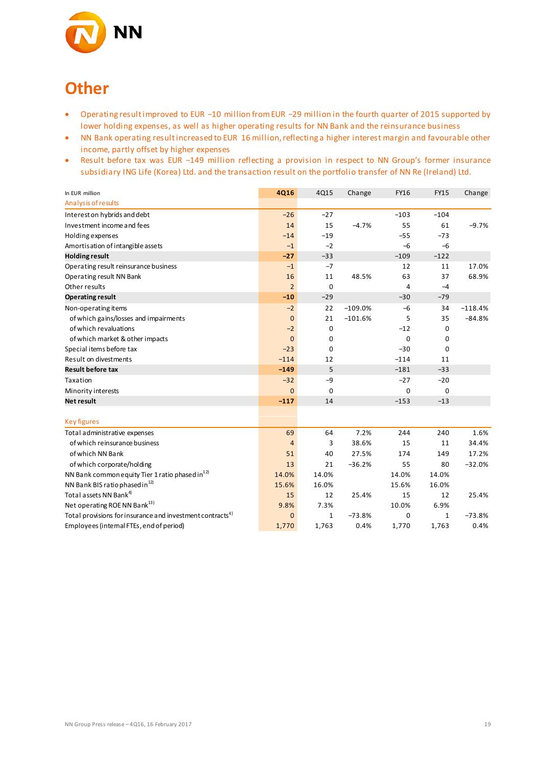

## **Other**

- Operating result improved to EUR −10 million from EUR −29 million in the fourth quarter of 2015 supported by lower holding expenses, as well as higher operating results for NN Bank and the reinsurance business
- NN Bank operating result increased to EUR 16 million, reflecting a higher interest margin and favourable other income, partly offset by higher expenses
- Result before tax was EUR −149 million reflecting a provision in respect to NN Group's former insurance subsidiary ING Life (Korea) Ltd. and the transaction result on the portfolio transfer of NN Re (Ireland) Ltd.

| In EUR million                                                        | <b>4Q16</b>    | 4Q15         | Change    | <b>FY16</b> | <b>FY15</b> | Change    |
|-----------------------------------------------------------------------|----------------|--------------|-----------|-------------|-------------|-----------|
| Analysis of results                                                   |                |              |           |             |             |           |
| Interest on hybrids and debt                                          | $-26$          | $-27$        |           | $-103$      | $-104$      |           |
| Investment income and fees                                            | 14             | 15           | $-4.7%$   | 55          | 61          | $-9.7%$   |
| Holding expenses                                                      | $-14$          | $-19$        |           | $-55$       | $-73$       |           |
| Amortisation of intangible assets                                     | $-1$           | $-2$         |           | $-6$        | $-6$        |           |
| <b>Holding result</b>                                                 | $-27$          | $-33$        |           | $-109$      | $-122$      |           |
| Operating result reinsurance business                                 | $-1$           | $-7$         |           | 12          | 11          | 17.0%     |
| Operating result NN Bank                                              | 16             | 11           | 48.5%     | 63          | 37          | 68.9%     |
| Other results                                                         | $\overline{2}$ | $\mathbf 0$  |           | 4           | $-4$        |           |
| <b>Operating result</b>                                               | $-10$          | $-29$        |           | $-30$       | $-79$       |           |
| Non-operating items                                                   | $-2$           | 22           | $-109.0%$ | $-6$        | 34          | $-118.4%$ |
| of which gains/losses and impairments                                 | $\overline{0}$ | 21           | $-101.6%$ | 5           | 35          | $-84.8%$  |
| of which revaluations                                                 | $-2$           | 0            |           | $-12$       | 0           |           |
| of which market & other impacts                                       | $\Omega$       | 0            |           | $\mathbf 0$ | 0           |           |
| Special items before tax                                              | $-23$          | $\mathbf 0$  |           | $-30$       | 0           |           |
| Result on divestments                                                 | $-114$         | 12           |           | $-114$      | 11          |           |
| <b>Result before tax</b>                                              | $-149$         | 5            |           | $-181$      | $-33$       |           |
| Taxation                                                              | $-32$          | $-9$         |           | $-27$       | $-20$       |           |
| Minority interests                                                    | $\mathbf{0}$   | 0            |           | 0           | 0           |           |
| <b>Net result</b>                                                     | $-117$         | 14           |           | $-153$      | $-13$       |           |
|                                                                       |                |              |           |             |             |           |
| <b>Key figures</b>                                                    |                |              |           |             |             |           |
| Total administrative expenses                                         | 69             | 64           | 7.2%      | 244         | 240         | 1.6%      |
| of which reinsurance business                                         | $\overline{4}$ | 3            | 38.6%     | 15          | 11          | 34.4%     |
| of which NN Bank                                                      | 51             | 40           | 27.5%     | 174         | 149         | 17.2%     |
| of which corporate/holding                                            | 13             | 21           | $-36.2%$  | 55          | 80          | $-32.0%$  |
| NN Bank common equity Tier 1 ratio phased in <sup>12)</sup>           | 14.0%          | 14.0%        |           | 14.0%       | 14.0%       |           |
| NN Bank BIS ratio phased in <sup>12)</sup>                            | 15.6%          | 16.0%        |           | 15.6%       | 16.0%       |           |
| Total assets NN Bank <sup>4)</sup>                                    | 15             | 12           | 25.4%     | 15          | 12          | 25.4%     |
| Net operating ROE NN Bank <sup>13)</sup>                              | 9.8%           | 7.3%         |           | 10.0%       | 6.9%        |           |
| Total provisions for insurance and investment contracts <sup>4)</sup> | $\overline{0}$ | $\mathbf{1}$ | $-73.8%$  | 0           | 1           | $-73.8%$  |
| Employees (internal FTEs, end of period)                              | 1,770          | 1,763        | 0.4%      | 1,770       | 1,763       | 0.4%      |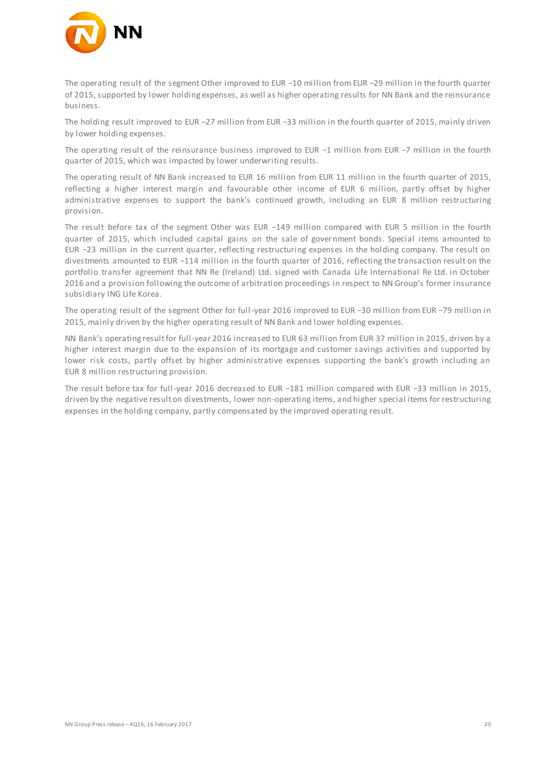

The operating result of the segment Other improved to EUR −10 million from EUR −29 million in the fourth quarter of 2015, supported by lower holding expenses, as well as higher operating results for NN Bank and the reinsurance business.

The holding result improved to EUR −27 million from EUR −33 million in the fourth quarter of 2015, mainly driven by lower holding expenses.

The operating result of the reinsurance business improved to EUR −1 million from EUR −7 million in the fourth quarter of 2015, which was impacted by lower underwriting results.

The operating result of NN Bank increased to EUR 16 million from EUR 11 million in the fourth quarter of 2015, reflecting a higher interest margin and favourable other income of EUR 6 million, partly offset by higher administrative expenses to support the bank's continued growth, including an EUR 8 million restructuring provision.

The result before tax of the segment Other was EUR −149 million compared with EUR 5 million in the fourth quarter of 2015, which included capital gains on the sale of government bonds. Special items amounted to EUR −23 million in the current quarter, reflecting restructuring expenses in the holding company. The result on divestments amounted to EUR −114 million in the fourth quarter of 2016, reflecting the transaction result on the portfolio transfer agreement that NN Re (Ireland) Ltd. signed with Canada Life International Re Ltd. in October 2016 and a provision following the outcome of arbitration proceedings in respect to NN Group's former insurance subsidiary ING Life Korea.

The operating result of the segment Other for full-year 2016 improved to EUR −30 million from EUR −79 million in 2015, mainly driven by the higher operating result of NN Bank and lower holding expenses.

NN Bank's operating result for full-year 2016 increased to EUR 63 million from EUR 37 million in 2015, driven by a higher interest margin due to the expansion of its mortgage and customer savings activities and supported by lower risk costs, partly offset by higher administrative expenses supporting the bank's growth including an EUR 8 million restructuring provision.

The result before tax for full-year 2016 decreased to EUR −181 million compared with EUR −33 million in 2015, driven by the negative result on divestments, lower non-operating items, and higher special items for restructuring expenses in the holding company, partly compensated by the improved operating result.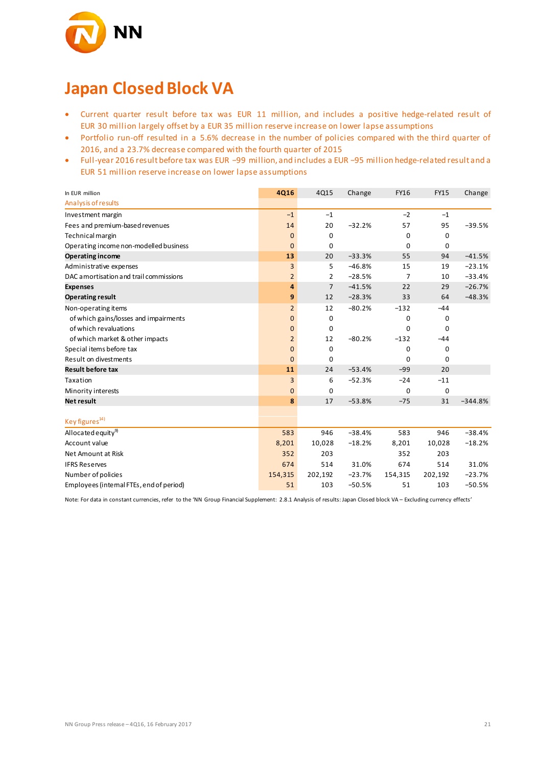

## **Japan Closed Block VA**

- Current quarter result before tax was EUR 11 million, and includes a positive hedge-related result of EUR 30 million largely offset by a EUR 35 million reserve increase on lower lapse assumptions
- Portfolio run-off resulted in a 5.6% decrease in the number of policies compared with the third quarter of 2016, and a 23.7% decrease compared with the fourth quarter of 2015
- Full-year 2016 result before tax was EUR −99 million, and includes a EUR −95 million hedge-related result and a EUR 51 million reserve increase on lower lapse assumptions

| In EUR million                           | <b>4Q16</b>    | 4Q15           | Change   | <b>FY16</b> | <b>FY15</b> | Change    |
|------------------------------------------|----------------|----------------|----------|-------------|-------------|-----------|
| Analysis of results                      |                |                |          |             |             |           |
| Investment margin                        | $-1$           | $-1$           |          | $-2$        | $-1$        |           |
| Fees and premium-based revenues          | 14             | 20             | $-32.2%$ | 57          | 95          | $-39.5%$  |
| Technical margin                         | $\bf{0}$       | 0              |          | 0           | 0           |           |
| Operating income non-modelled business   | $\mathbf{0}$   | $\Omega$       |          | $\Omega$    | 0           |           |
| <b>Operating income</b>                  | 13             | 20             | $-33.3%$ | 55          | 94          | $-41.5%$  |
| Administrative expenses                  | 3              | 5              | $-46.8%$ | 15          | 19          | $-23.1%$  |
| DAC amortisation and trail commissions   | $\overline{2}$ | 2              | $-28.5%$ | 7           | 10          | $-33.4%$  |
| <b>Expenses</b>                          | 4              | $\overline{7}$ | $-41.5%$ | 22          | 29          | $-26.7%$  |
| <b>Operating result</b>                  | 9              | 12             | $-28.3%$ | 33          | 64          | $-48.3%$  |
| Non-operating items                      | $\overline{2}$ | 12             | $-80.2%$ | $-132$      | $-44$       |           |
| of which gains/losses and impairments    | $\mathbf{0}$   | 0              |          | 0           | 0           |           |
| of which revaluations                    | $\mathbf{0}$   | 0              |          | $\Omega$    | 0           |           |
| of which market & other impacts          | $\overline{2}$ | 12             | $-80.2%$ | $-132$      | $-44$       |           |
| Special items before tax                 | $\mathbf{0}$   | 0              |          | $\mathbf 0$ | 0           |           |
| Result on divestments                    | $\mathbf{0}$   | $\Omega$       |          | $\Omega$    | $\Omega$    |           |
| <b>Result before tax</b>                 | 11             | 24             | $-53.4%$ | $-99$       | 20          |           |
| Taxation                                 | 3              | 6              | $-52.3%$ | $-24$       | $-11$       |           |
| Minority interests                       | $\mathbf{0}$   | 0              |          | $\mathbf 0$ | $\mathbf 0$ |           |
| <b>Net result</b>                        | 8              | 17             | $-53.8%$ | $-75$       | 31          | $-344.8%$ |
|                                          |                |                |          |             |             |           |
| Key figures <sup>14)</sup>               |                |                |          |             |             |           |
| Allocated equity <sup>9)</sup>           | 583            | 946            | $-38.4%$ | 583         | 946         | $-38.4%$  |
| Account value                            | 8,201          | 10,028         | $-18.2%$ | 8,201       | 10,028      | $-18.2%$  |
| Net Amount at Risk                       | 352            | 203            |          | 352         | 203         |           |
| <b>IFRS Reserves</b>                     | 674            | 514            | 31.0%    | 674         | 514         | 31.0%     |
| Number of policies                       | 154,315        | 202,192        | $-23.7%$ | 154,315     | 202,192     | $-23.7%$  |
| Employees (internal FTEs, end of period) | 51             | 103            | $-50.5%$ | 51          | 103         | $-50.5%$  |

Note: For data in constant currencies, refer to the 'NN Group Financial Supplement: 2.8.1 Analysis of results: Japan Closed block VA – Excluding currency effects'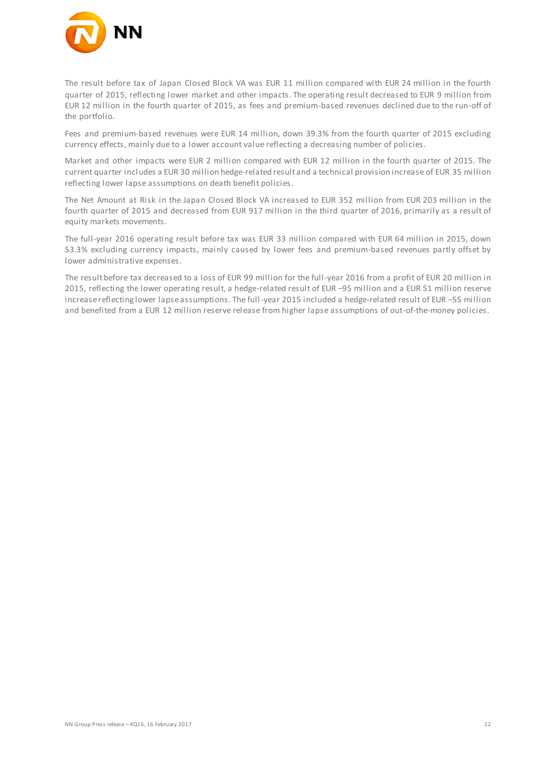

The result before tax of Japan Closed Block VA was EUR 11 million compared with EUR 24 million in the fourth quarter of 2015, reflecting lower market and other impacts. The operating result decreased to EUR 9 million from EUR 12 million in the fourth quarter of 2015, as fees and premium-based revenues declined due to the run-off of the portfolio.

Fees and premium-based revenues were EUR 14 million, down 39.3% from the fourth quarter of 2015 excluding currency effects, mainly due to a lower account value reflecting a decreasing number of policies.

Market and other impacts were EUR 2 million compared with EUR 12 million in the fourth quarter of 2015. The current quarter includes a EUR 30 million hedge-related result and a technical provision increase of EUR 35 million reflecting lower lapse assumptions on death benefit policies.

The Net Amount at Risk in the Japan Closed Block VA increased to EUR 352 million from EUR 203 million in the fourth quarter of 2015 and decreased from EUR 917 million in the third quarter of 2016, primarily as a result of equity markets movements.

The full-year 2016 operating result before tax was EUR 33 million compared with EUR 64 million in 2015, down 53.3% excluding currency impacts, mainly caused by lower fees and premium-based revenues partly offset by lower administrative expenses.

The result before tax decreased to a loss of EUR 99 million for the full-year 2016 from a profit of EUR 20 million in 2015, reflecting the lower operating result, a hedge-related result of EUR −95 million and a EUR 51 million reserve increase reflecting lower lapse assumptions. The full-year 2015 included a hedge-related result of EUR −55 million and benefited from a EUR 12 million reserve release from higher lapse assumptions of out-of-the-money policies.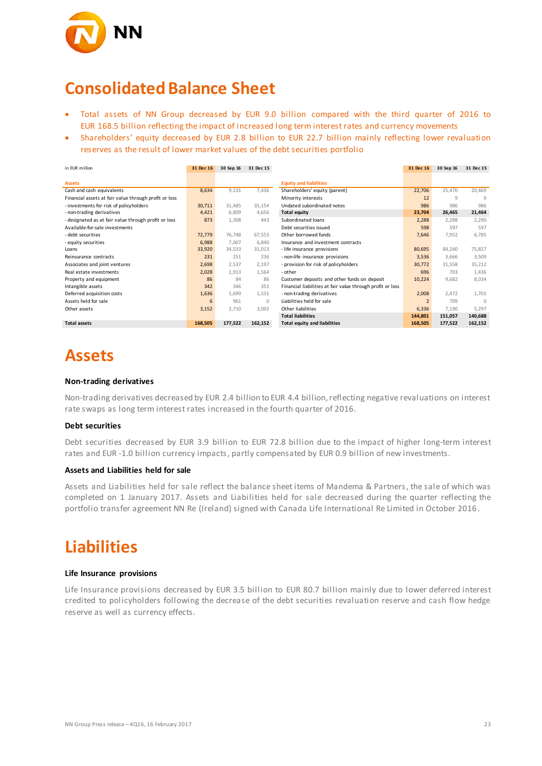

### **Consolidated Balance Sheet**

- Total assets of NN Group decreased by EUR 9.0 billion compared with the third quarter of 2016 to EUR 168.5 billion reflecting the impact of increased long term interest rates and currency movements
- Shareholders' equity decreased by EUR 2.8 billion to EUR 22.7 billion mainly reflecting lower revaluation reserves as the result of lower market values of the debt securities portfolio

| in FUR million                                        | 31 Dec 16 | 30 Sep 16 | 31 Dec 15 |                                                            | 31 Dec 16      | 30 Sep 16 | 31 Dec 15 |
|-------------------------------------------------------|-----------|-----------|-----------|------------------------------------------------------------|----------------|-----------|-----------|
|                                                       |           |           |           |                                                            |                |           |           |
| <b>Assets</b>                                         |           |           |           | <b>Equity and liabilities</b>                              |                |           |           |
| Cash and cash equivalents                             | 8,634     | 9,131     | 7,436     | Shareholders' equity (parent)                              | 22,706         | 25,470    | 20,469    |
| Financial assets at fair value through profit or loss |           |           |           | Minority interests                                         | 12             | $\circ$   | 9         |
| - investments for risk of policyholders               | 30,711    | 31,485    | 35,154    | Undated subordinated notes                                 | 986            | 986       | 986       |
| - non-trading derivatives                             | 4,421     | 6,809     | 4,656     | <b>Total equity</b>                                        | 23,704         | 26,465    | 21,464    |
| - designated as at fair value through profit or loss  | 873       | 1,308     | 443       | Subordinated loans                                         | 2,288          | 2,288     | 2,290     |
| Available-for-sale investments                        |           |           |           | Debt securities issued                                     | 598            | 597       | 597       |
| - debt securities                                     | 72,779    | 76.748    | 67,553    | Other borrowed funds                                       | 7,646          | 7,952     | 6.785     |
| - equity securities                                   | 6,988     | 7.007     | 6,840     | Insurance and investment contracts                         |                |           |           |
| Loans                                                 | 33,920    | 34,533    | 31,013    | - life insurance provisions                                | 80,695         | 84,240    | 75,827    |
| Reinsurance contracts                                 | 231       | 251       | 236       | - non-life insurance provisions                            | 3,536          | 3.666     | 3,509     |
| Associates and joint ventures                         | 2,698     | 2,537     | 2,197     | - provision for risk of policyholders                      | 30,772         | 31,558    | 35,212    |
| Real estate investments                               | 2,028     | 1,913     | 1,564     | - other                                                    | 696            | 703       | 1,436     |
| Property and equipment                                | 86        | 84        | 86        | Customer deposits and other funds on deposit               | 10,224         | 9,682     | 8,034     |
| Intangible assets                                     | 342       | 346       | 351       | Financial liabilities at fair value through profit or loss |                |           |           |
| Deferred acquisition costs                            | 1,636     | 1,699     | 1,531     | - non-trading derivatives                                  | 2,008          | 2,472     | 1,701     |
| Assets held for sale                                  | 6         | 961       | $\circ$   | Liabilities held for sale                                  | $\overline{2}$ | 709       | $\Omega$  |
| Other assets                                          | 3,152     | 2,710     | 3,092     | Other liabilities                                          | 6,336          | 7,190     | 5,297     |
|                                                       |           |           |           | <b>Total liabilities</b>                                   | 144,801        | 151,057   | 140,688   |
| <b>Total assets</b>                                   | 168,505   | 177,522   | 162,152   | Total equity and liabilities                               | 168,505        | 177,522   | 162,152   |

## **Assets**

#### **Non-trading derivatives**

Non-trading derivatives decreased by EUR 2.4 billion to EUR 4.4 billion, reflecting negative revaluations on interest rate swaps as long term interest rates increased in the fourth quarter of 2016.

#### **Debt securities**

Debt securities decreased by EUR 3.9 billion to EUR 72.8 billion due to the impact of higher long-term interest rates and EUR -1.0 billion currency impacts, partly compensated by EUR 0.9 billion of new investments.

#### **Assets and Liabilities held for sale**

Assets and Liabilities held for sale reflect the balance sheet items of Mandema & Partners, the sale of which was completed on 1 January 2017. Assets and Liabilities held for sale decreased during the quarter reflecting the portfolio transfer agreement NN Re (Ireland) signed with Canada Life International Re Limited in October 2016.

### **Liabilities**

#### **Life Insurance provisions**

Life Insurance provisions decreased by EUR 3.5 billion to EUR 80.7 billion mainly due to lower deferred interest credited to policyholders following the decrease of the debt securities revaluation reserve and cash flow hedge reserve as well as currency effects.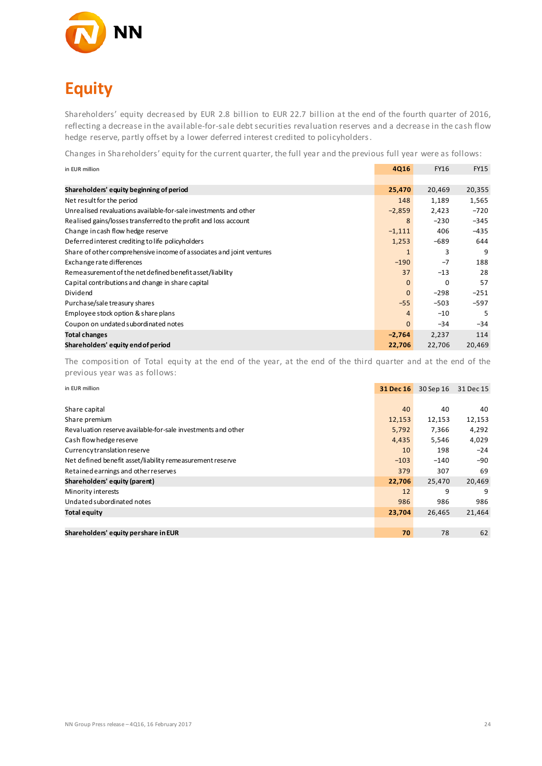

# **Equity**

Shareholders' equity decreased by EUR 2.8 billion to EUR 22.7 billion at the end of the fourth quarter of 2016, reflecting a decrease in the available-for-sale debt securities revaluation reserves and a decrease in the cash flow hedge reserve, partly offset by a lower deferred interest credited to policyholders.

Changes in Shareholders' equity for the current quarter, the full year and the previous full year were as follows:

| in EUR million                                                       | <b>4Q16</b>  | <b>FY16</b> | <b>FY15</b> |
|----------------------------------------------------------------------|--------------|-------------|-------------|
|                                                                      |              |             |             |
| Shareholders' equity beginning of period                             | 25,470       | 20,469      | 20,355      |
| Net result for the period                                            | 148          | 1,189       | 1,565       |
| Unrealised revaluations available-for-sale investments and other     | $-2,859$     | 2,423       | $-720$      |
| Realised gains/losses transferred to the profit and loss account     | 8            | $-230$      | $-345$      |
| Change in cash flow hedge reserve                                    | $-1,111$     | 406         | $-435$      |
| Deferred interest crediting to life policyholders                    | 1,253        | $-689$      | 644         |
| Share of other comprehensive income of associates and joint ventures | $\mathbf{1}$ | 3           | 9           |
| Exchange rate differences                                            | $-190$       | $-7$        | 188         |
| Remeasurement of the net defined benefit asset/liability             | 37           | $-13$       | 28          |
| Capital contributions and change in share capital                    | $\Omega$     | 0           | 57          |
| Dividend                                                             | $\mathbf{0}$ | $-298$      | $-251$      |
| Purchase/sale treasury shares                                        | $-55$        | $-503$      | $-597$      |
| Employee stock option & share plans                                  | 4            | $-10$       | 5           |
| Coupon on undated subordinated notes                                 | $\mathbf{0}$ | $-34$       | $-34$       |
| <b>Total changes</b>                                                 | $-2,764$     | 2,237       | 114         |
| Shareholders' equity end of period                                   | 22,706       | 22,706      | 20,469      |

The composition of Total equity at the end of the year, at the end of the third quarter and at the end of the previous year was as follows:

| in EUR million                                               | 31 Dec 16 | 30 Sep 16 | 31 Dec 15 |
|--------------------------------------------------------------|-----------|-----------|-----------|
|                                                              |           |           |           |
| Share capital                                                | 40        | 40        | 40        |
| Share premium                                                | 12,153    | 12,153    | 12,153    |
| Revaluation reserve available-for-sale investments and other | 5,792     | 7,366     | 4,292     |
| Cash flow hedge reserve                                      | 4,435     | 5,546     | 4,029     |
| Currency translation reserve                                 | 10        | 198       | $-24$     |
| Net defined benefit asset/liability remeasurement reserve    | $-103$    | $-140$    | $-90$     |
| Retained earnings and other reserves                         | 379       | 307       | 69        |
| Shareholders' equity (parent)                                | 22,706    | 25,470    | 20,469    |
| Minority interests                                           | 12        | 9         | 9         |
| Undated subordinated notes                                   | 986       | 986       | 986       |
| <b>Total equity</b>                                          | 23,704    | 26,465    | 21,464    |
|                                                              |           |           |           |
| Shareholders' equity per share in EUR                        | 70        | 78        | 62        |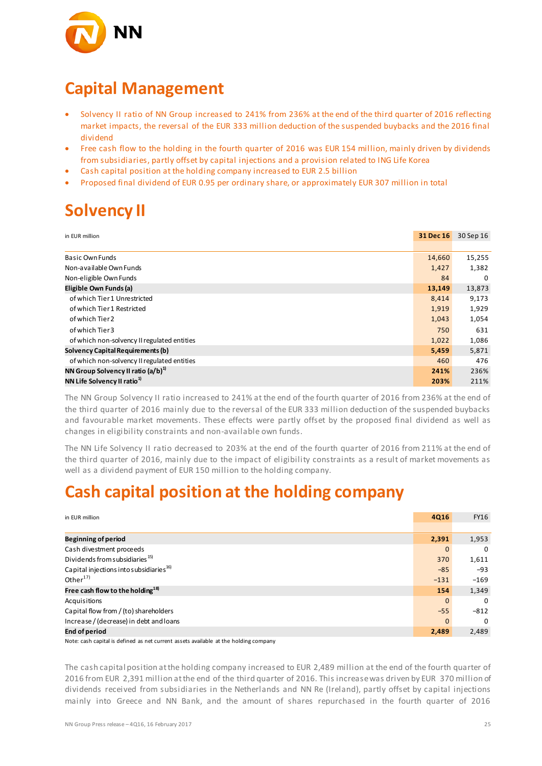

### **Capital Management**

- Solvency II ratio of NN Group increased to 241% from 236% at the end of the third quarter of 2016 reflecting market impacts, the reversal of the EUR 333 million deduction of the suspended buybacks and the 2016 final dividend
- Free cash flow to the holding in the fourth quarter of 2016 was EUR 154 million, mainly driven by dividends from subsidiaries, partly offset by capital injections and a provision related to ING Life Korea
- Cash capital position at the holding company increased to EUR 2.5 billion
- Proposed final dividend of EUR 0.95 per ordinary share, or approximately EUR 307 million in total

## **Solvency II**

| in EUR million                                 | 31 Dec 16 | 30 Sep 16 |
|------------------------------------------------|-----------|-----------|
|                                                |           |           |
| Basic Own Funds                                | 14,660    | 15,255    |
| Non-available Own Funds                        | 1,427     | 1,382     |
| Non-eligible Own Funds                         | 84        | $\Omega$  |
| Eligible Own Funds (a)                         | 13,149    | 13,873    |
| of which Tier 1 Unrestricted                   | 8,414     | 9,173     |
| of which Tier 1 Restricted                     | 1,919     | 1,929     |
| of which Tier 2                                | 1,043     | 1,054     |
| of which Tier 3                                | 750       | 631       |
| of which non-solvency II regulated entities    | 1,022     | 1,086     |
| Solvency Capital Requirements (b)              | 5,459     | 5,871     |
| of which non-solvency II regulated entities    | 460       | 476       |
| NN Group Solvency II ratio (a/b) <sup>1)</sup> | 241%      | 236%      |
| NN Life Solvency II ratio <sup>1)</sup>        | 203%      | 211%      |

The NN Group Solvency II ratio increased to 241% at the end of the fourth quarter of 2016 from 236% at the end of the third quarter of 2016 mainly due to the reversal of the EUR 333 million deduction of the suspended buybacks and favourable market movements. These effects were partly offset by the proposed final dividend as well as changes in eligibility constraints and non-available own funds.

The NN Life Solvency II ratio decreased to 203% at the end of the fourth quarter of 2016 from 211% at the end of the third quarter of 2016, mainly due to the impact of eligibility constraints as a result of market movements as well as a dividend payment of EUR 150 million to the holding company.

### **Cash capital position at the holding company**

| in EUR million                                      | <b>4Q16</b>  | <b>FY16</b> |
|-----------------------------------------------------|--------------|-------------|
|                                                     |              |             |
| Beginning of period                                 | 2,391        | 1,953       |
| Cash divestment proceeds                            | $\mathbf{0}$ | 0           |
| Dividends from subsidiaries <sup>15)</sup>          | 370          | 1,611       |
| Capital injections into subsidiaries <sup>16)</sup> | $-85$        | $-93$       |
| Other $17)$                                         | $-131$       | $-169$      |
| Free cash flow to the holding <sup>18)</sup>        | 154          | 1,349       |
| Acquisitions                                        | $\mathbf{0}$ | $\Omega$    |
| Capital flow from / (to) shareholders               | $-55$        | $-812$      |
| Increase / (decrease) in debt and loans             | $\Omega$     | $\Omega$    |
| <b>End of period</b>                                | 2,489        | 2,489       |

Note: cash capital is defined as net current assets available at the holding company

The cash capital position at the holding company increased to EUR 2,489 million at the end of the fourth quarter of 2016 from EUR 2,391 million at the end of the third quarter of 2016. This increase was driven by EUR 370 million of dividends received from subsidiaries in the Netherlands and NN Re (Ireland), partly offset by capital injections mainly into Greece and NN Bank, and the amount of shares repurchased in the fourth quarter of 2016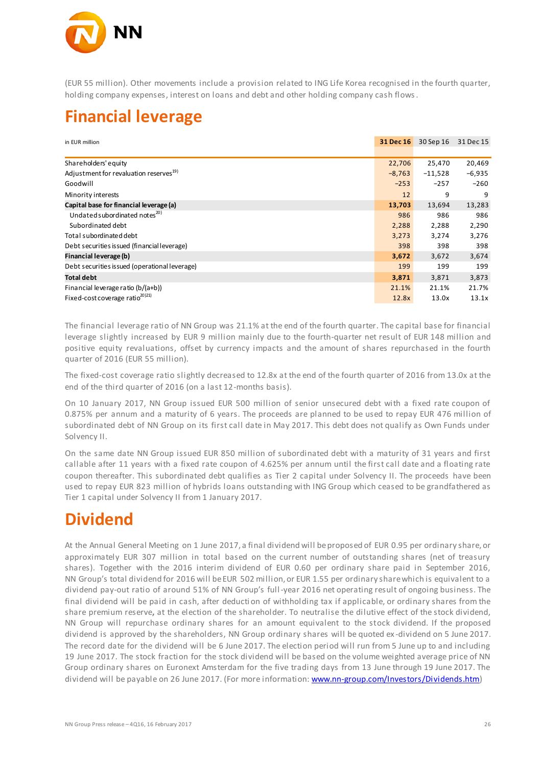

(EUR 55 million). Other movements include a provision related to ING Life Korea recognised in the fourth quarter, holding company expenses, interest on loans and debt and other holding company cash flows.

### **Financial leverage**

| in EUR million                                     | 31 Dec 16 | 30 Sep 16 | 31 Dec 15 |
|----------------------------------------------------|-----------|-----------|-----------|
|                                                    |           |           |           |
| Shareholders' equity                               | 22,706    | 25,470    | 20,469    |
| Adjustment for revaluation reserves <sup>19)</sup> | $-8,763$  | $-11,528$ | $-6,935$  |
| Goodwill                                           | $-253$    | $-257$    | $-260$    |
| Minority interests                                 | 12        | 9         | 9         |
| Capital base for financial leverage (a)            | 13,703    | 13,694    | 13,283    |
| Undated subordinated notes <sup>20)</sup>          | 986       | 986       | 986       |
| Subordinated debt                                  | 2,288     | 2,288     | 2,290     |
| Total subordinated debt                            | 3,273     | 3,274     | 3,276     |
| Debt securities is sued (financial leverage)       | 398       | 398       | 398       |
| Financial leverage (b)                             | 3,672     | 3,672     | 3,674     |
| Debt securities issued (operational leverage)      | 199       | 199       | 199       |
| <b>Total debt</b>                                  | 3,871     | 3,871     | 3,873     |
| Financial leverage ratio (b/(a+b))                 | 21.1%     | 21.1%     | 21.7%     |
| Fixed-cost coverage ratio <sup>201211</sup>        | 12.8x     | 13.0x     | 13.1x     |

The financial leverage ratio of NN Group was 21.1% at the end of the fourth quarter. The capital base for financial leverage slightly increased by EUR 9 million mainly due to the fourth-quarter net result of EUR 148 million and positive equity revaluations, offset by currency impacts and the amount of shares repurchased in the fourth quarter of 2016 (EUR 55 million).

The fixed-cost coverage ratio slightly decreased to 12.8x at the end of the fourth quarter of 2016 from 13.0x at the end of the third quarter of 2016 (on a last 12-months basis).

On 10 January 2017, NN Group issued EUR 500 million of senior unsecured debt with a fixed rate coupon of 0.875% per annum and a maturity of 6 years. The proceeds are planned to be used to repay EUR 476 million of subordinated debt of NN Group on its first call date in May 2017. This debt does not qualify as Own Funds under Solvency II.

On the same date NN Group issued EUR 850 million of subordinated debt with a maturity of 31 years and first callable after 11 years with a fixed rate coupon of 4.625% per annum until the first call date and a floating rate coupon thereafter. This subordinated debt qualifies as Tier 2 capital under Solvency II. The proceeds have been used to repay EUR 823 million of hybrids loans outstanding with ING Group which ceased to be grandfathered as Tier 1 capital under Solvency II from 1 January 2017.

## **Dividend**

At the Annual General Meeting on 1 June 2017, a final dividend will be proposed of EUR 0.95 per ordinary share, or approximately EUR 307 million in total based on the current number of outstanding shares (net of treasury shares). Together with the 2016 interim dividend of EUR 0.60 per ordinary share paid in September 2016, NN Group's total dividend for 2016 will be EUR 502 million, or EUR 1.55 per ordinary share which is equivalent to a dividend pay-out ratio of around 51% of NN Group's full-year 2016 net operating result of ongoing business. The final dividend will be paid in cash, after deducti on of withholding tax if applicable, or ordinary shares from the share premium reserve**,** at the election of the shareholder. To neutralise the dilutive effect of the stock dividend, NN Group will repurchase ordinary shares for an amount equivalent to the stock dividend. If the proposed dividend is approved by the shareholders, NN Group ordinary shares will be quoted ex -dividend on 5 June 2017. The record date for the dividend will be 6 June 2017. The election period will run from 5 June up to and including 19 June 2017. The stock fraction for the stock dividend will be based on the volume weighted average price of NN Group ordinary shares on Euronext Amsterdam for the five trading days from 13 June through 19 June 2017. The dividend will be payable on 26 June 2017. (For more information: www.nn-group.com/Investors/Dividends.htm)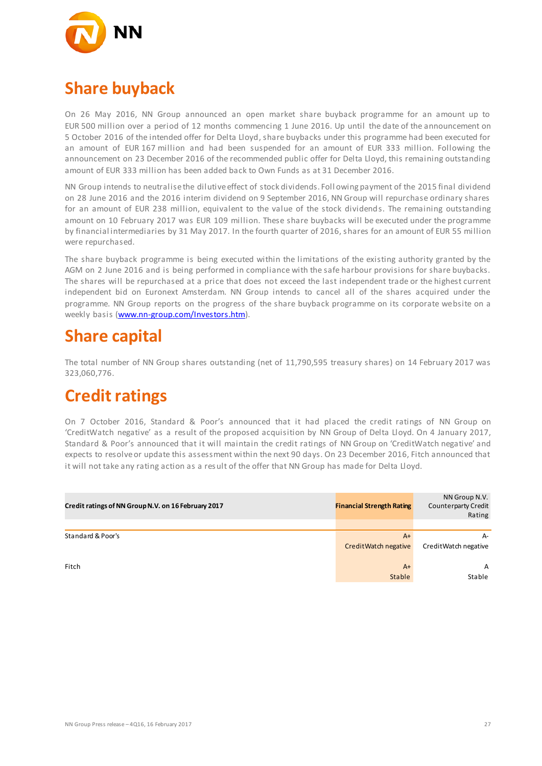

## **Share buyback**

On 26 May 2016, NN Group announced an open market share buyback programme for an amount up to EUR 500 million over a period of 12 months commencing 1 June 2016. Up until the date of the announcement on 5 October 2016 of the intended offer for Delta Lloyd, share buybacks under this programme had been executed for an amount of EUR 167 million and had been suspended for an amount of EUR 333 million. Following the announcement on 23 December 2016 of the recommended public offer for Delta Lloyd, this remaining outstanding amount of EUR 333 million has been added back to Own Funds as at 31 December 2016.

NN Group intends to neutralise the dilutive effect of stock dividends. Foll owing payment of the 2015 final dividend on 28 June 2016 and the 2016 interim dividend on 9 September 2016, NN Group will repurchase ordinary shares for an amount of EUR 238 million, equivalent to the value of the stock dividends. The remaining outstanding amount on 10 February 2017 was EUR 109 million. These share buybacks will be executed under the programme by financial intermediaries by 31 May 2017. In the fourth quarter of 2016, shares for an amount of EUR 55 million were repurchased.

The share buyback programme is being executed within the limitations of the existing authority granted by the AGM on 2 June 2016 and is being performed in compliance with the safe harbour provisions for share buybacks. The shares will be repurchased at a price that does not exceed the last independent trade or the highest current independent bid on Euronext Amsterdam. NN Group intends to cancel all of the shares acquired under the programme. NN Group reports on the progress of the share buyback programme on its corporate website on a weekly basis [\(www.nn-group.com/Investors.htm\)](http://www.nn-group.com/Investors.htm).

### **Share capital**

The total number of NN Group shares outstanding (net of 11,790,595 treasury shares) on 14 February 2017 was 323,060,776.

### **Credit ratings**

On 7 October 2016, Standard & Poor's announced that it had placed the credit ratings of NN Group on 'CreditWatch negative' as a result of the proposed acquisition by NN Group of Delta Lloyd. On 4 January 2017, Standard & Poor's announced that it will maintain the credit ratings of NN Group on 'CreditWatch negative' and expects to resolve or update this assessment within the next 90 days. On 23 December 2016, Fitch announced that it will not take any rating action as a result of the offer that NN Group has made for Delta Lloyd.

| Credit ratings of NN Group N.V. on 16 February 2017 | <b>Financial Strength Rating</b> | NN Group N.V.<br><b>Counterparty Credit</b><br>Rating |
|-----------------------------------------------------|----------------------------------|-------------------------------------------------------|
|                                                     |                                  |                                                       |
| Standard & Poor's                                   | $A+$<br>CreditWatch negative     | $A-$<br>Credit Watch negative                         |
| Fitch                                               | $A+$<br>Stable                   | A<br>Stable                                           |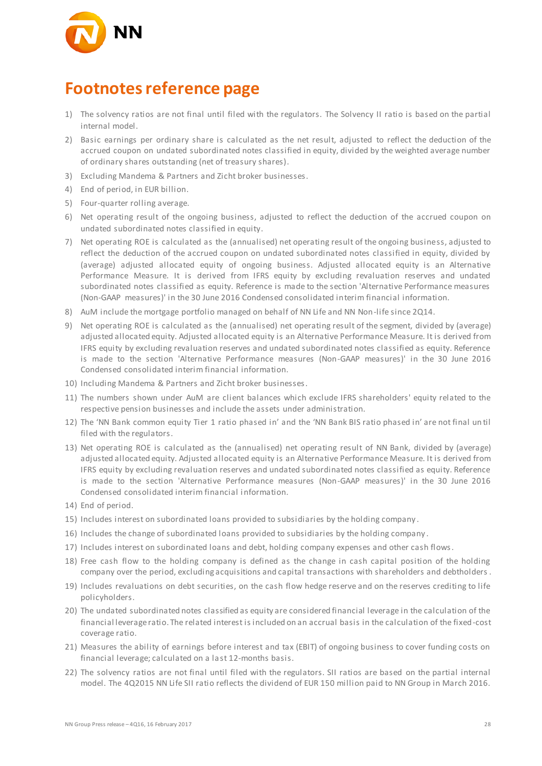

### **Footnotes reference page**

- 1) The solvency ratios are not final until filed with the regulators. The Solvency II ratio is based on the partial internal model.
- 2) Basic earnings per ordinary share is calculated as the net result, adjusted to reflect the deduction of the accrued coupon on undated subordinated notes classified in equity, divided by the weighted average number of ordinary shares outstanding (net of treasury shares).
- 3) Excluding Mandema & Partners and Zicht broker businesses.
- 4) End of period, in EUR billion.
- 5) Four-quarter rolling average.
- 6) Net operating result of the ongoing business, adjusted to reflect the deduction of the accrued coupon on undated subordinated notes classified in equity.
- 7) Net operating ROE is calculated as the (annualised) net operating result of the ongoing business, adjusted to reflect the deduction of the accrued coupon on undated subordinated notes classified in equity, divided by (average) adjusted allocated equity of ongoing business. Adjusted allocated equity is an Alternative Performance Measure. It is derived from IFRS equity by excluding revaluation reserves and undated subordinated notes classified as equity. Reference is made to the section 'Alternative Performance measures (Non-GAAP measures)' in the 30 June 2016 Condensed consolidated interim financial information.
- 8) AuM include the mortgage portfolio managed on behalf of NN Life and NN Non-life since 2Q14.
- 9) Net operating ROE is calculated as the (annualised) net operating result of the segment, divided by (average) adjusted allocated equity. Adjusted allocated equity is an Alternative Performance Measure. It is derived from IFRS equity by excluding revaluation reserves and undated subordinated notes classified as equity. Reference is made to the section 'Alternative Performance measures (Non-GAAP measures)' in the 30 June 2016 Condensed consolidated interim financial information.
- 10) Including Mandema & Partners and Zicht broker businesses.
- 11) The numbers shown under AuM are client balances which exclude IFRS shareholders' equity related to the respective pension businesses and include the assets under administration.
- 12) The 'NN Bank common equity Tier 1 ratio phased in' and the 'NN Bank BIS ratio phased in' are not final un til filed with the regulators.
- 13) Net operating ROE is calculated as the (annualised) net operating result of NN Bank, divided by (average) adjusted allocated equity. Adjusted allocated equity is an Alternative Performance Measure. It is derived from IFRS equity by excluding revaluation reserves and undated subordinated notes classified as equity. Reference is made to the section 'Alternative Performance measures (Non-GAAP measures)' in the 30 June 2016 Condensed consolidated interim financial i nformation.
- 14) End of period.
- 15) Includes interest on subordinated loans provided to subsidiaries by the holding company .
- 16) Includes the change of subordinated loans provided to subsidiaries by the holding company .
- 17) Includes interest on subordinated loans and debt, holding company expenses and other cash flows.
- 18) Free cash flow to the holding company is defined as the change in cash capital position of the holding company over the period, excluding acquisitions and capital transactions with shareholders and debtholders .
- 19) Includes revaluations on debt securities, on the cash flow hedge reserve and on the reserves crediting to life policyholders.
- 20) The undated subordinated notes classified as equity are considered financial leverage in the calculation of the financial leverage ratio. The related interest is included on an accrual basis in the calculation of the fixed-cost coverage ratio.
- 21) Measures the ability of earnings before interest and tax (EBIT) of ongoing business to cover funding costs on financial leverage; calculated on a last 12-months basis.
- 22) The solvency ratios are not final until filed with the regulators. SII ratios are based on the partial internal model. The 4Q2015 NN Life SII ratio reflects the dividend of EUR 150 million paid to NN Group in March 2016.